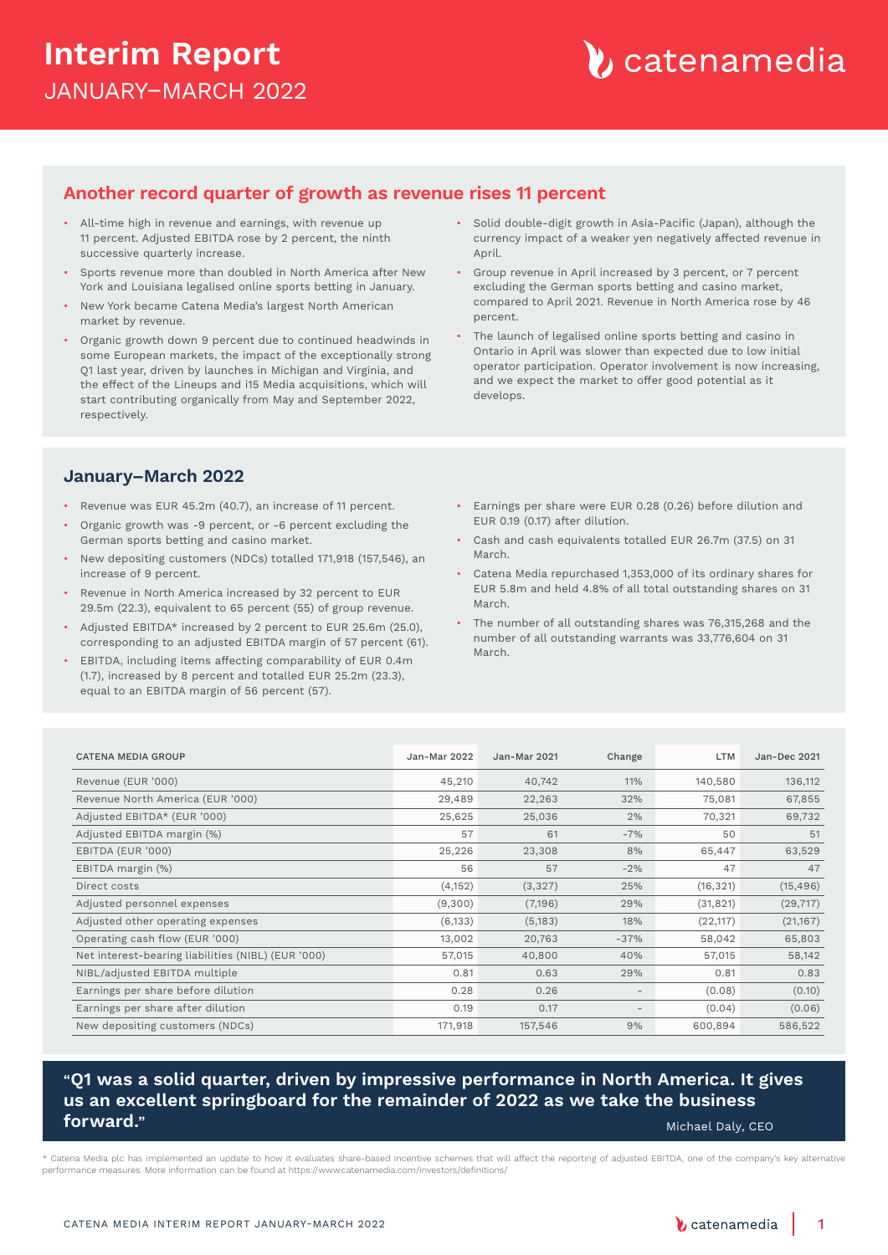### **Interim Report** JANUARY–MARCH 2022

### **Another record quarter of growth as revenue rises 11 percent**

- All-time high in revenue and earnings, with revenue up 11 percent. Adjusted EBITDA rose by 2 percent, the ninth successive quarterly increase.
- Sports revenue more than doubled in North America after New York and Louisiana legalised online sports betting in January.
- New York became Catena Media's largest North American market by revenue.
- Organic growth down 9 percent due to continued headwinds in some European markets, the impact of the exceptionally strong Q1 last year, driven by launches in Michigan and Virginia, and the effect of the Lineups and i15 Media acquisitions, which will start contributing organically from May and September 2022, respectively.
- Solid double-digit growth in Asia-Pacific (Japan), although the currency impact of a weaker yen negatively affected revenue in April.
- Group revenue in April increased by 3 percent, or 7 percent excluding the German sports betting and casino market, compared to April 2021. Revenue in North America rose by 46 percent.
- The launch of legalised online sports betting and casino in Ontario in April was slower than expected due to low initial operator participation. Operator involvement is now increasing, and we expect the market to offer good potential as it develops.

### **January–March 2022**

- Revenue was EUR 45.2m (40.7), an increase of 11 percent.
- Organic growth was -9 percent, or -6 percent excluding the German sports betting and casino market.
- New depositing customers (NDCs) totalled 171,918 (157,546), an increase of 9 percent.
- Revenue in North America increased by 32 percent to EUR 29.5m (22.3), equivalent to 65 percent (55) of group revenue.
- Adjusted EBITDA\* increased by 2 percent to EUR 25.6m (25.0), corresponding to an adjusted EBITDA margin of 57 percent (61).
- EBITDA, including items affecting comparability of EUR 0.4m (1.7), increased by 8 percent and totalled EUR 25.2m (23.3), equal to an EBITDA margin of 56 percent (57).
- Earnings per share were EUR 0.28 (0.26) before dilution and EUR 0.19 (0.17) after dilution.
- Cash and cash equivalents totalled EUR 26.7m (37.5) on 31 March.
- Catena Media repurchased 1,353,000 of its ordinary shares for EUR 5.8m and held 4.8% of all total outstanding shares on 31 March.
- The number of all outstanding shares was 76,315,268 and the number of all outstanding warrants was 33,776,604 on 31 March.

| <b>CATENA MEDIA GROUP</b>                          | Jan-Mar 2022 | <b>Jan-Mar 2021</b> | Change                   | <b>LTM</b> | <b>Jan-Dec 2021</b> |
|----------------------------------------------------|--------------|---------------------|--------------------------|------------|---------------------|
| Revenue (EUR '000)                                 | 45,210       | 40,742              | 11%                      | 140,580    | 136,112             |
| Revenue North America (EUR '000)                   | 29,489       | 22,263              | 32%                      | 75,081     | 67,855              |
| Adjusted EBITDA* (EUR '000)                        | 25,625       | 25,036              | 2%                       | 70,321     | 69,732              |
| Adjusted EBITDA margin (%)                         | 57           | 61                  | $-7%$                    | 50         | 51                  |
| EBITDA (EUR '000)                                  | 25,226       | 23,308              | 8%                       | 65,447     | 63,529              |
| EBITDA margin (%)                                  | 56           | 57                  | $-2%$                    | 47         | 47                  |
| Direct costs                                       | (4, 152)     | (3, 327)            | 25%                      | (16, 321)  | (15, 496)           |
| Adjusted personnel expenses                        | (9,300)      | (7,196)             | 29%                      | (31, 821)  | (29, 717)           |
| Adjusted other operating expenses                  | (6, 133)     | (5, 183)            | 18%                      | (22, 117)  | (21,167)            |
| Operating cash flow (EUR '000)                     | 13,002       | 20,763              | $-37%$                   | 58,042     | 65,803              |
| Net interest-bearing liabilities (NIBL) (EUR '000) | 57,015       | 40,800              | 40%                      | 57,015     | 58,142              |
| NIBL/adjusted EBITDA multiple                      | 0.81         | 0.63                | 29%                      | 0.81       | 0.83                |
| Earnings per share before dilution                 | 0.28         | 0.26                | $\overline{\phantom{a}}$ | (0.08)     | (0.10)              |
| Earnings per share after dilution                  | 0.19         | 0.17                | $\overline{\phantom{a}}$ | (0.04)     | (0.06)              |
| New depositing customers (NDCs)                    | 171,918      | 157,546             | 9%                       | 600,894    | 586,522             |

### "**Q1 was a solid quarter, driven by impressive performance in North America. It gives us an excellent springboard for the remainder of 2022 as we take the business forward."** Michael Daly, CEO (Michael Daly, CEO (Michael Daly, CEO (Michael Daly, CEO

\* Catena Media plc has implemented an update to how it evaluates share-based incentive schemes that will affect the reporting of adjusted EBITDA, one of the company's key alternative performance measures. More information can be found at https://www.catenamedia.com/investors/definitions/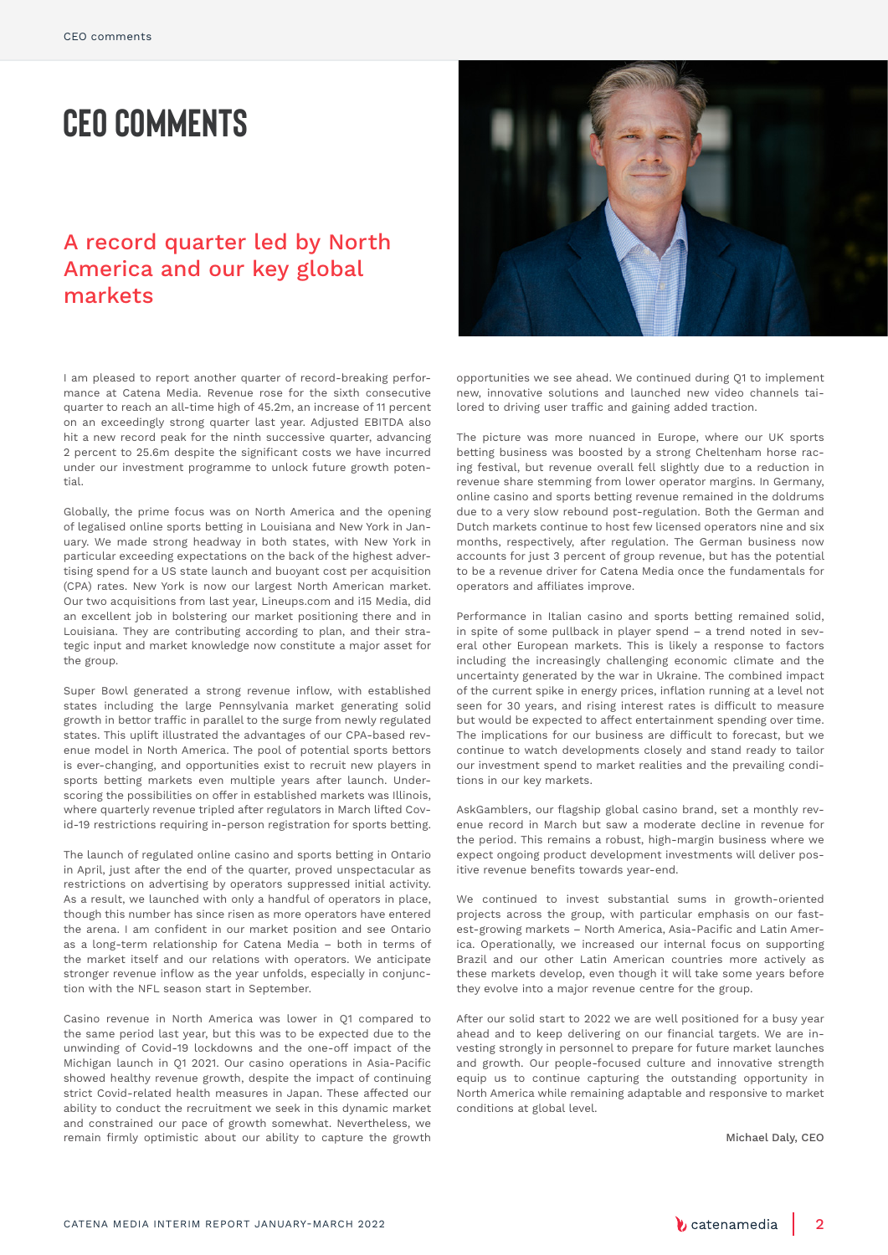# **CEO comments**

### A record quarter led by North America and our key global markets

I am pleased to report another quarter of record-breaking performance at Catena Media. Revenue rose for the sixth consecutive quarter to reach an all-time high of 45.2m, an increase of 11 percent on an exceedingly strong quarter last year. Adjusted EBITDA also hit a new record peak for the ninth successive quarter, advancing 2 percent to 25.6m despite the significant costs we have incurred under our investment programme to unlock future growth potential.

Globally, the prime focus was on North America and the opening of legalised online sports betting in Louisiana and New York in January. We made strong headway in both states, with New York in particular exceeding expectations on the back of the highest advertising spend for a US state launch and buoyant cost per acquisition (CPA) rates. New York is now our largest North American market. Our two acquisitions from last year, Lineups.com and i15 Media, did an excellent job in bolstering our market positioning there and in Louisiana. They are contributing according to plan, and their strategic input and market knowledge now constitute a major asset for the group.

Super Bowl generated a strong revenue inflow, with established states including the large Pennsylvania market generating solid growth in bettor traffic in parallel to the surge from newly regulated states. This uplift illustrated the advantages of our CPA-based revenue model in North America. The pool of potential sports bettors is ever-changing, and opportunities exist to recruit new players in sports betting markets even multiple years after launch. Underscoring the possibilities on offer in established markets was Illinois, where quarterly revenue tripled after regulators in March lifted Covid-19 restrictions requiring in-person registration for sports betting.

The launch of regulated online casino and sports betting in Ontario in April, just after the end of the quarter, proved unspectacular as restrictions on advertising by operators suppressed initial activity. As a result, we launched with only a handful of operators in place, though this number has since risen as more operators have entered the arena. I am confident in our market position and see Ontario as a long-term relationship for Catena Media – both in terms of the market itself and our relations with operators. We anticipate stronger revenue inflow as the year unfolds, especially in conjunction with the NFL season start in September.

Casino revenue in North America was lower in Q1 compared to the same period last year, but this was to be expected due to the unwinding of Covid-19 lockdowns and the one-off impact of the Michigan launch in Q1 2021. Our casino operations in Asia-Pacific showed healthy revenue growth, despite the impact of continuing strict Covid-related health measures in Japan. These affected our ability to conduct the recruitment we seek in this dynamic market and constrained our pace of growth somewhat. Nevertheless, we remain firmly optimistic about our ability to capture the growth



opportunities we see ahead. We continued during Q1 to implement new, innovative solutions and launched new video channels tailored to driving user traffic and gaining added traction.

The picture was more nuanced in Europe, where our UK sports betting business was boosted by a strong Cheltenham horse racing festival, but revenue overall fell slightly due to a reduction in revenue share stemming from lower operator margins. In Germany, online casino and sports betting revenue remained in the doldrums due to a very slow rebound post-regulation. Both the German and Dutch markets continue to host few licensed operators nine and six months, respectively, after regulation. The German business now accounts for just 3 percent of group revenue, but has the potential to be a revenue driver for Catena Media once the fundamentals for operators and affiliates improve.

Performance in Italian casino and sports betting remained solid, in spite of some pullback in player spend – a trend noted in several other European markets. This is likely a response to factors including the increasingly challenging economic climate and the uncertainty generated by the war in Ukraine. The combined impact of the current spike in energy prices, inflation running at a level not seen for 30 years, and rising interest rates is difficult to measure but would be expected to affect entertainment spending over time. The implications for our business are difficult to forecast, but we continue to watch developments closely and stand ready to tailor our investment spend to market realities and the prevailing conditions in our key markets.

AskGamblers, our flagship global casino brand, set a monthly revenue record in March but saw a moderate decline in revenue for the period. This remains a robust, high-margin business where we expect ongoing product development investments will deliver positive revenue benefits towards year-end.

We continued to invest substantial sums in growth-oriented projects across the group, with particular emphasis on our fastest-growing markets – North America, Asia-Pacific and Latin America. Operationally, we increased our internal focus on supporting Brazil and our other Latin American countries more actively as these markets develop, even though it will take some years before they evolve into a major revenue centre for the group.

After our solid start to 2022 we are well positioned for a busy year ahead and to keep delivering on our financial targets. We are investing strongly in personnel to prepare for future market launches and growth. Our people-focused culture and innovative strength equip us to continue capturing the outstanding opportunity in North America while remaining adaptable and responsive to market conditions at global level.

Michael Daly, CEO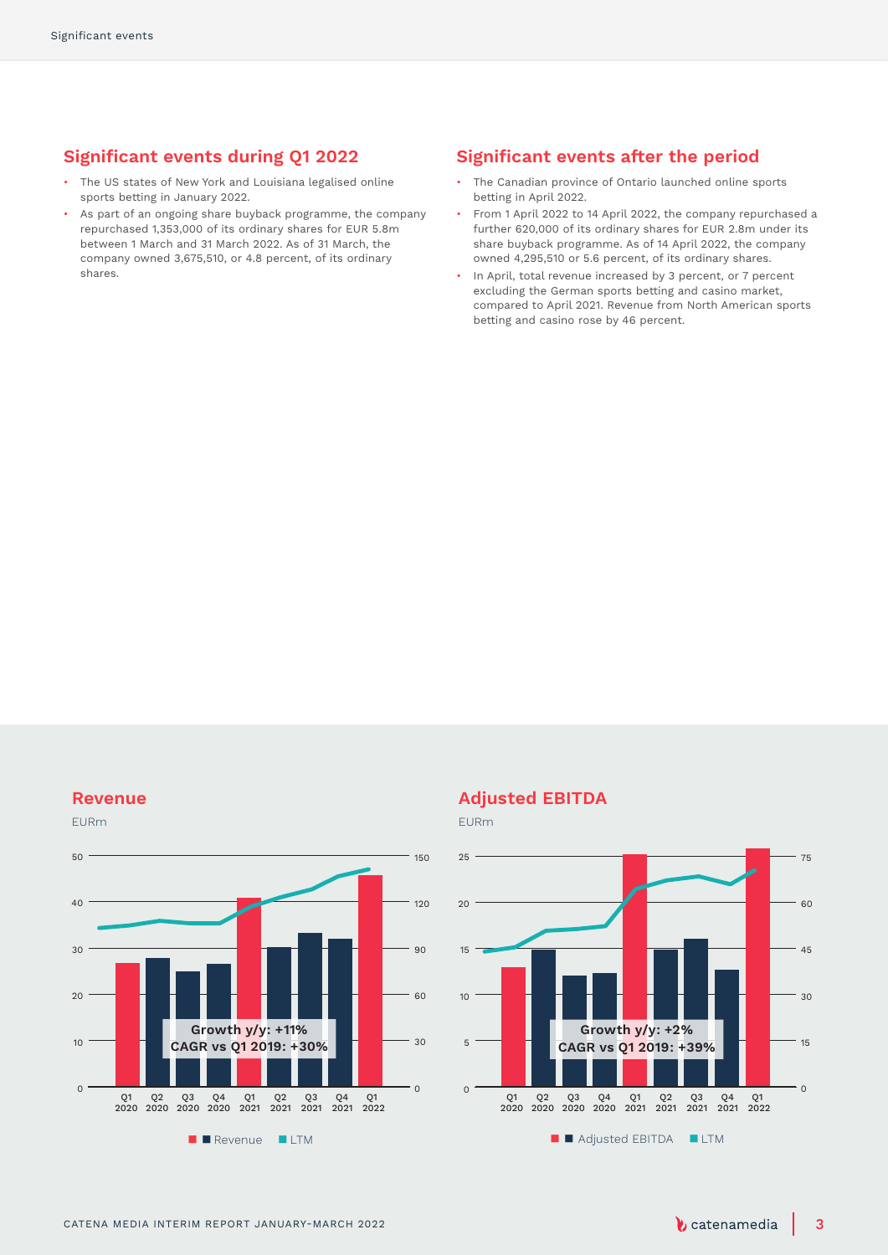### **Significant events during Q1 2022**

- The US states of New York and Louisiana legalised online sports betting in January 2022.
- As part of an ongoing share buyback programme, the company repurchased 1,353,000 of its ordinary shares for EUR 5.8m between 1 March and 31 March 2022. As of 31 March, the company owned 3,675,510, or 4.8 percent, of its ordinary shares.

### **Significant events after the period**

- The Canadian province of Ontario launched online sports betting in April 2022.
- From 1 April 2022 to 14 April 2022, the company repurchased a further 620,000 of its ordinary shares for EUR 2.8m under its share buyback programme. As of 14 April 2022, the company owned 4,295,510 or 5.6 percent, of its ordinary shares.
- In April, total revenue increased by 3 percent, or 7 percent excluding the German sports betting and casino market, compared to April 2021. Revenue from North American sports betting and casino rose by 46 percent.

### **Revenue**



### **Adjusted EBITDA**

EURm

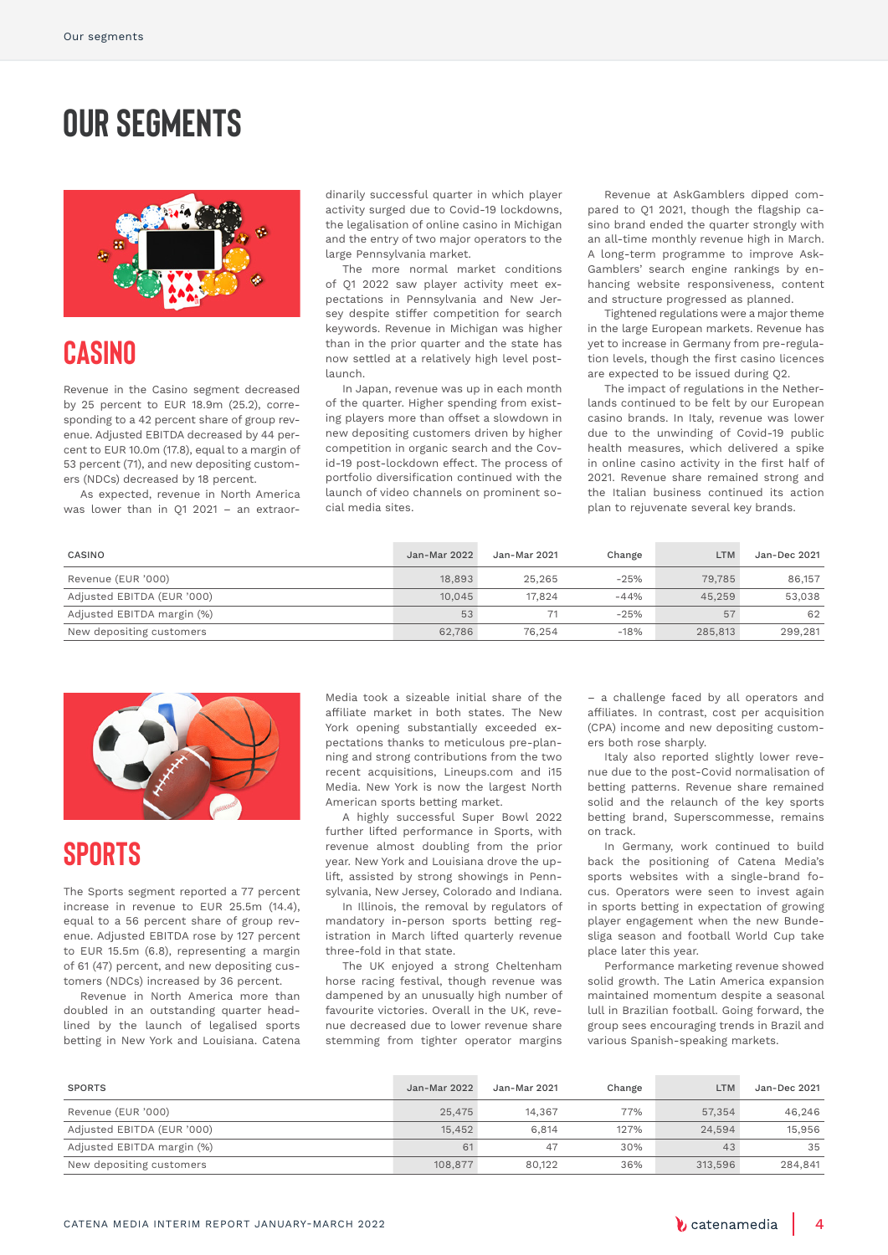# **Our segments**



### **Casino**

Revenue in the Casino segment decreased by 25 percent to EUR 18.9m (25.2), corresponding to a 42 percent share of group revenue. Adjusted EBITDA decreased by 44 percent to EUR 10.0m (17.8), equal to a margin of 53 percent (71), and new depositing customers (NDCs) decreased by 18 percent.

As expected, revenue in North America was lower than in Q1 2021 – an extraordinarily successful quarter in which player activity surged due to Covid-19 lockdowns, the legalisation of online casino in Michigan and the entry of two major operators to the large Pennsylvania market.

The more normal market conditions of Q1 2022 saw player activity meet expectations in Pennsylvania and New Jersey despite stiffer competition for search keywords. Revenue in Michigan was higher than in the prior quarter and the state has now settled at a relatively high level postlaunch.

In Japan, revenue was up in each month of the quarter. Higher spending from existing players more than offset a slowdown in new depositing customers driven by higher competition in organic search and the Covid-19 post-lockdown effect. The process of portfolio diversification continued with the launch of video channels on prominent social media sites.

Revenue at AskGamblers dipped compared to Q1 2021, though the flagship casino brand ended the quarter strongly with an all-time monthly revenue high in March. A long-term programme to improve Ask-Gamblers' search engine rankings by enhancing website responsiveness, content and structure progressed as planned.

Tightened regulations were a major theme in the large European markets. Revenue has yet to increase in Germany from pre-regulation levels, though the first casino licences are expected to be issued during Q2.

The impact of regulations in the Netherlands continued to be felt by our European casino brands. In Italy, revenue was lower due to the unwinding of Covid-19 public health measures, which delivered a spike in online casino activity in the first half of 2021. Revenue share remained strong and the Italian business continued its action plan to rejuvenate several key brands.

| CASINO                     | Jan-Mar 2022 | Jan-Mar 2021 | Change | LTM     | Jan-Dec 2021 |
|----------------------------|--------------|--------------|--------|---------|--------------|
| Revenue (EUR '000)         | 18,893       | 25.265       | $-25%$ | 79,785  | 86,157       |
| Adjusted EBITDA (EUR '000) | 10.045       | 17.824       | $-44%$ | 45,259  | 53,038       |
| Adjusted EBITDA margin (%) | 53           |              | $-25%$ | 57      | 62           |
| New depositing customers   | 62.786       | 76.254       | $-18%$ | 285,813 | 299.281      |



### **Sports**

The Sports segment reported a 77 percent increase in revenue to EUR 25.5m (14.4), equal to a 56 percent share of group revenue. Adjusted EBITDA rose by 127 percent to EUR 15.5m (6.8), representing a margin of 61 (47) percent, and new depositing customers (NDCs) increased by 36 percent.

Revenue in North America more than doubled in an outstanding quarter headlined by the launch of legalised sports betting in New York and Louisiana. Catena

Media took a sizeable initial share of the affiliate market in both states. The New York opening substantially exceeded expectations thanks to meticulous pre-planning and strong contributions from the two recent acquisitions, Lineups.com and i15 Media. New York is now the largest North American sports betting market.

A highly successful Super Bowl 2022 further lifted performance in Sports, with revenue almost doubling from the prior year. New York and Louisiana drove the uplift, assisted by strong showings in Pennsylvania, New Jersey, Colorado and Indiana.

In Illinois, the removal by regulators of mandatory in-person sports betting registration in March lifted quarterly revenue three-fold in that state.

The UK enjoyed a strong Cheltenham horse racing festival, though revenue was dampened by an unusually high number of favourite victories. Overall in the UK, revenue decreased due to lower revenue share stemming from tighter operator margins

– a challenge faced by all operators and affiliates. In contrast, cost per acquisition (CPA) income and new depositing customers both rose sharply.

Italy also reported slightly lower revenue due to the post-Covid normalisation of betting patterns. Revenue share remained solid and the relaunch of the key sports betting brand, Superscommesse, remains on track.

In Germany, work continued to build back the positioning of Catena Media's sports websites with a single-brand focus. Operators were seen to invest again in sports betting in expectation of growing player engagement when the new Bundesliga season and football World Cup take place later this year.

Performance marketing revenue showed solid growth. The Latin America expansion maintained momentum despite a seasonal lull in Brazilian football. Going forward, the group sees encouraging trends in Brazil and various Spanish-speaking markets.

| <b>SPORTS</b>              | Jan-Mar 2022 | Jan-Mar 2021 | Change | LTM     | Jan-Dec 2021 |
|----------------------------|--------------|--------------|--------|---------|--------------|
| Revenue (EUR '000)         | 25,475       | 14.367       | 77%    | 57,354  | 46,246       |
| Adjusted EBITDA (EUR '000) | 15.452       | 6.814        | 127%   | 24.594  | 15,956       |
| Adjusted EBITDA margin (%) | 61           | 47           | 30%    | 43      | 35           |
| New depositing customers   | 108,877      | 80,122       | 36%    | 313,596 | 284.841      |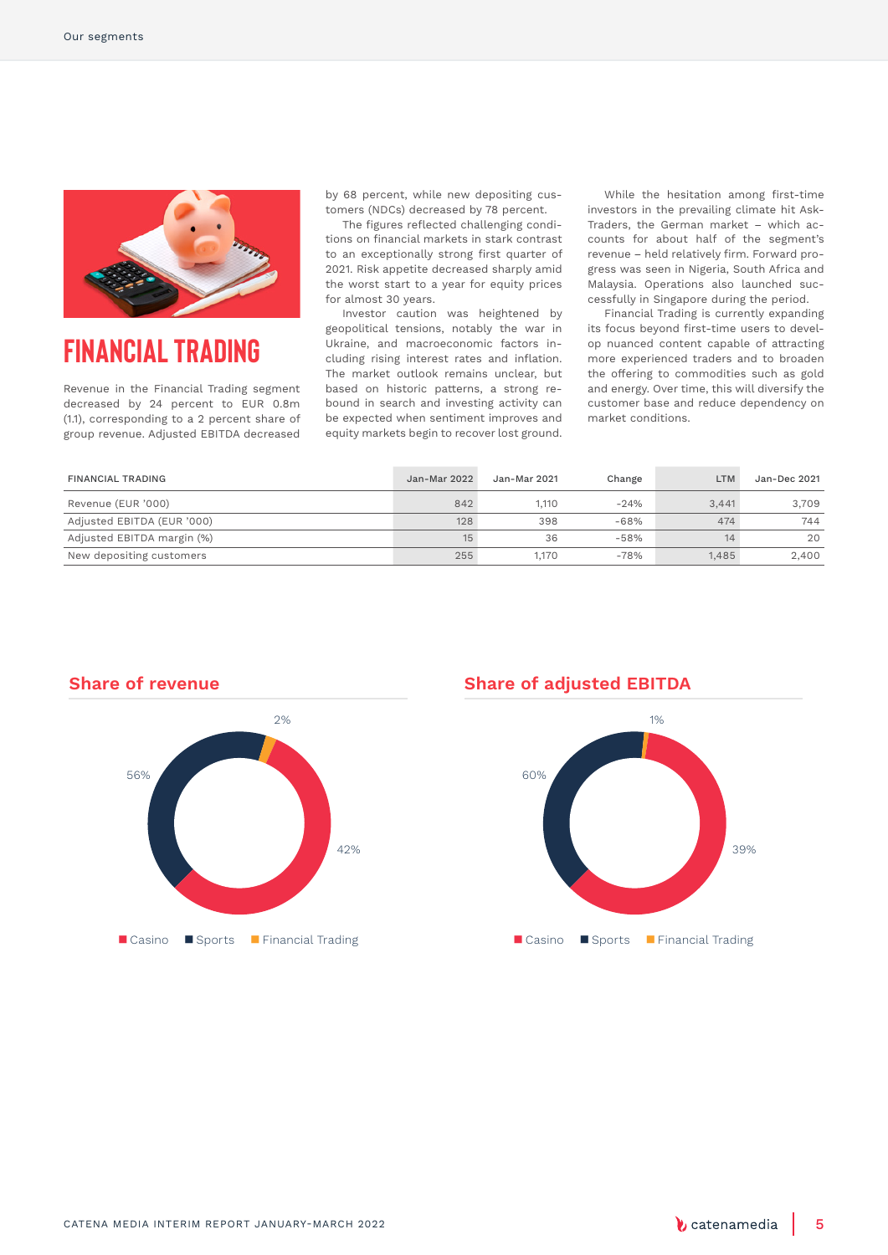

### **Financial Trading**

Revenue in the Financial Trading segment decreased by 24 percent to EUR 0.8m (1.1), corresponding to a 2 percent share of group revenue. Adjusted EBITDA decreased

by 68 percent, while new depositing customers (NDCs) decreased by 78 percent.

The figures reflected challenging conditions on financial markets in stark contrast to an exceptionally strong first quarter of 2021. Risk appetite decreased sharply amid the worst start to a year for equity prices for almost 30 years.

Investor caution was heightened by geopolitical tensions, notably the war in Ukraine, and macroeconomic factors including rising interest rates and inflation. The market outlook remains unclear, but based on historic patterns, a strong rebound in search and investing activity can be expected when sentiment improves and equity markets begin to recover lost ground.

While the hesitation among first-time investors in the prevailing climate hit Ask-Traders, the German market – which accounts for about half of the segment's revenue – held relatively firm. Forward progress was seen in Nigeria, South Africa and Malaysia. Operations also launched successfully in Singapore during the period.

Financial Trading is currently expanding its focus beyond first-time users to develop nuanced content capable of attracting more experienced traders and to broaden the offering to commodities such as gold and energy. Over time, this will diversify the customer base and reduce dependency on market conditions.

| <b>FINANCIAL TRADING</b>   | Jan-Mar 2022 | Jan-Mar 2021 | Change | <b>LTM</b> | Jan-Dec 2021 |
|----------------------------|--------------|--------------|--------|------------|--------------|
| Revenue (EUR '000)         | 842          | 1.110        | $-24%$ | 3.441      | 3.709        |
| Adjusted EBITDA (EUR '000) | 128          | 398          | $-68%$ | 474        | 744          |
| Adjusted EBITDA margin (%) | 15           | 36           | $-58%$ | 14         | 20           |
| New depositing customers   | 255          | 1.170        | $-78%$ | 1.485      | 2.400        |



### **Share of adjusted EBITDA**



# **Share of revenue**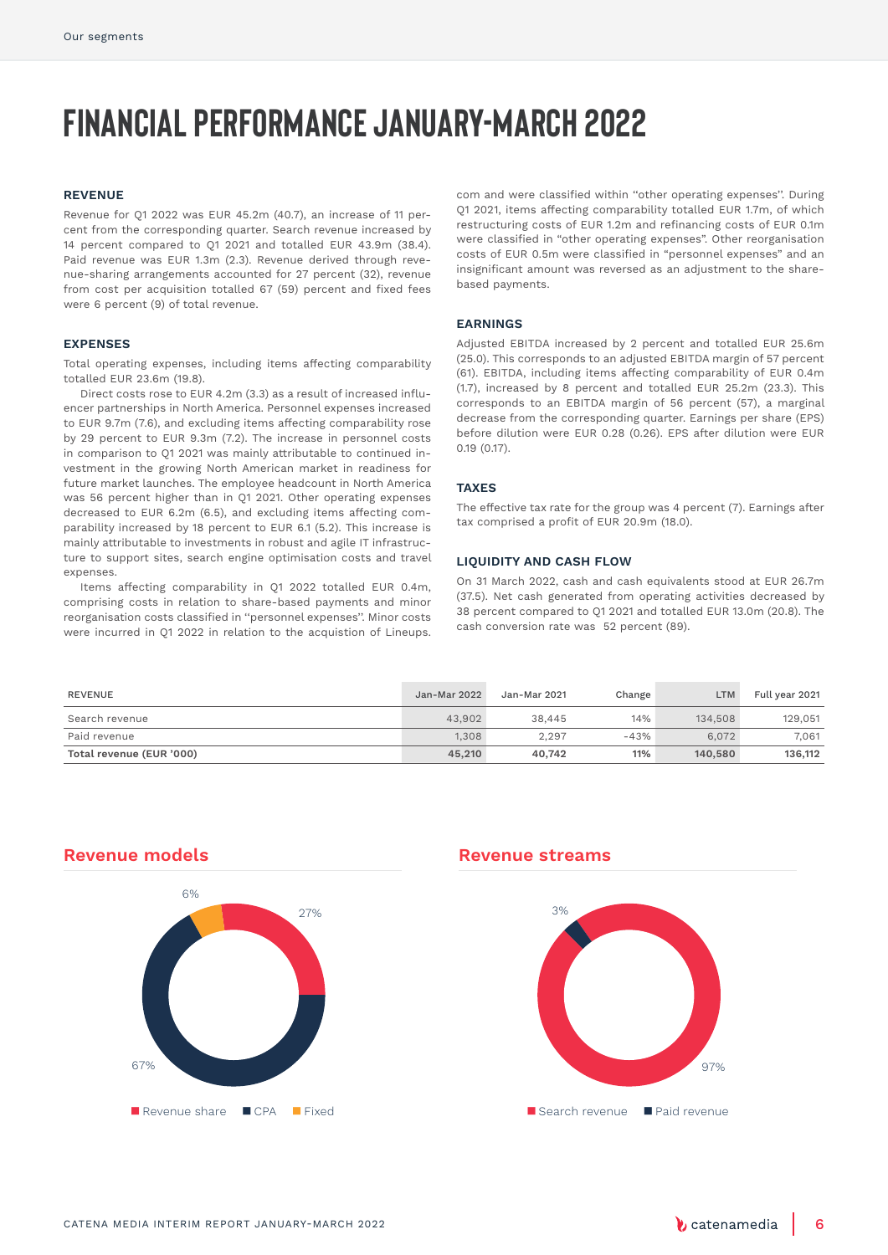# **Financial performance January-March 2022**

#### **REVENUE**

Revenue for Q1 2022 was EUR 45.2m (40.7), an increase of 11 percent from the corresponding quarter. Search revenue increased by 14 percent compared to Q1 2021 and totalled EUR 43.9m (38.4). Paid revenue was EUR 1.3m (2.3). Revenue derived through revenue-sharing arrangements accounted for 27 percent (32), revenue from cost per acquisition totalled 67 (59) percent and fixed fees were 6 percent (9) of total revenue.

#### **EXPENSES**

Total operating expenses, including items affecting comparability totalled EUR 23.6m (19.8).

Direct costs rose to EUR 4.2m (3.3) as a result of increased influencer partnerships in North America. Personnel expenses increased to EUR 9.7m (7.6), and excluding items affecting comparability rose by 29 percent to EUR 9.3m (7.2). The increase in personnel costs in comparison to Q1 2021 was mainly attributable to continued investment in the growing North American market in readiness for future market launches. The employee headcount in North America was 56 percent higher than in Q1 2021. Other operating expenses decreased to EUR 6.2m (6.5), and excluding items affecting comparability increased by 18 percent to EUR 6.1 (5.2). This increase is mainly attributable to investments in robust and agile IT infrastructure to support sites, search engine optimisation costs and travel expenses.

Items affecting comparability in Q1 2022 totalled EUR 0.4m, comprising costs in relation to share-based payments and minor reorganisation costs classified in ''personnel expenses''. Minor costs were incurred in Q1 2022 in relation to the acquistion of Lineups.

com and were classified within ''other operating expenses''. During Q1 2021, items affecting comparability totalled EUR 1.7m, of which restructuring costs of EUR 1.2m and refinancing costs of EUR 0.1m were classified in "other operating expenses". Other reorganisation costs of EUR 0.5m were classified in "personnel expenses" and an insignificant amount was reversed as an adjustment to the sharebased payments.

#### **EARNINGS**

Adjusted EBITDA increased by 2 percent and totalled EUR 25.6m (25.0). This corresponds to an adjusted EBITDA margin of 57 percent (61). EBITDA, including items affecting comparability of EUR 0.4m (1.7), increased by 8 percent and totalled EUR 25.2m (23.3). This corresponds to an EBITDA margin of 56 percent (57), a marginal decrease from the corresponding quarter. Earnings per share (EPS) before dilution were EUR 0.28 (0.26). EPS after dilution were EUR 0.19 (0.17).

### **TAXES**

The effective tax rate for the group was 4 percent (7). Earnings after tax comprised a profit of EUR 20.9m (18.0).

### **LIQUIDITY AND CASH FLOW**

On 31 March 2022, cash and cash equivalents stood at EUR 26.7m (37.5). Net cash generated from operating activities decreased by 38 percent compared to Q1 2021 and totalled EUR 13.0m (20.8). The cash conversion rate was 52 percent (89).

| REVENUE                  | Jan-Mar 2022 | Jan-Mar 2021 | Change | <b>LTM</b> | Full year 2021 |
|--------------------------|--------------|--------------|--------|------------|----------------|
| Search revenue           | 43.902       | 38,445       | 14%    | 134,508    | 129,051        |
| Paid revenue             | 1.308        | 2.297        | $-43%$ | 6.072      | 7.061          |
| Total revenue (EUR '000) | 45,210       | 40.742       | 11%    | 140,580    | 136,112        |

### **Revenue models**



### **Revenue streams**

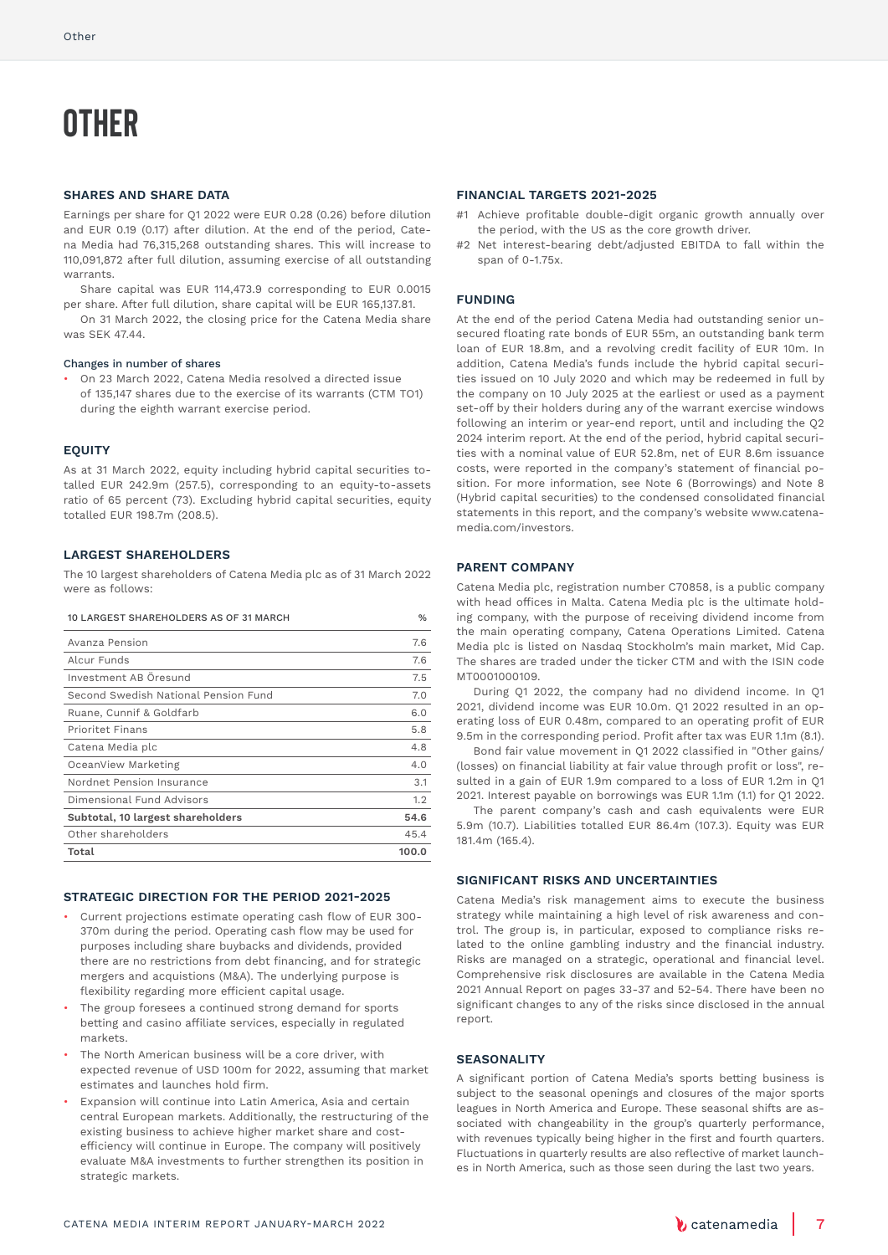# **Other**

### **SHARES AND SHARE DATA**

Earnings per share for Q1 2022 were EUR 0.28 (0.26) before dilution and EUR 0.19 (0.17) after dilution. At the end of the period, Catena Media had 76,315,268 outstanding shares. This will increase to 110,091,872 after full dilution, assuming exercise of all outstanding warrants.

Share capital was EUR 114,473.9 corresponding to EUR 0.0015 per share. After full dilution, share capital will be EUR 165,137.81.

On 31 March 2022, the closing price for the Catena Media share was SEK 47.44.

#### Changes in number of shares

• On 23 March 2022, Catena Media resolved a directed issue of 135,147 shares due to the exercise of its warrants (CTM TO1) during the eighth warrant exercise period.

#### **EQUITY**

As at 31 March 2022, equity including hybrid capital securities totalled EUR 242.9m (257.5), corresponding to an equity-to-assets ratio of 65 percent (73). Excluding hybrid capital securities, equity totalled EUR 198.7m (208.5).

### **LARGEST SHAREHOLDERS**

The 10 largest shareholders of Catena Media plc as of 31 March 2022 were as follows:

| 10 LARGEST SHAREHOLDERS AS OF 31 MARCH |  |
|----------------------------------------|--|
|                                        |  |

| Avanza Pension                       | 7.6   |
|--------------------------------------|-------|
| Alcur Funds                          | 7.6   |
| Investment AB Öresund                | 7.5   |
| Second Swedish National Pension Fund | 7.0   |
| Ruane, Cunnif & Goldfarb             | 6.0   |
| <b>Prioritet Finans</b>              | 5.8   |
| Catena Media plc                     | 4.8   |
| OceanView Marketing                  | 4.0   |
| Nordnet Pension Insurance            | 3.1   |
| Dimensional Fund Advisors            | 1.2   |
| Subtotal, 10 largest shareholders    | 54.6  |
| Other shareholders                   | 45.4  |
| Total                                | 100.0 |

#### **STRATEGIC DIRECTION FOR THE PERIOD 2021-2025**

- Current projections estimate operating cash flow of EUR 300- 370m during the period. Operating cash flow may be used for purposes including share buybacks and dividends, provided there are no restrictions from debt financing, and for strategic mergers and acquistions (M&A). The underlying purpose is flexibility regarding more efficient capital usage.
- The group foresees a continued strong demand for sports betting and casino affiliate services, especially in regulated markets.
- The North American business will be a core driver, with expected revenue of USD 100m for 2022, assuming that market estimates and launches hold firm.
- Expansion will continue into Latin America, Asia and certain central European markets. Additionally, the restructuring of the existing business to achieve higher market share and costefficiency will continue in Europe. The company will positively evaluate M&A investments to further strengthen its position in strategic markets.

#### **FINANCIAL TARGETS 2021-2025**

- #1 Achieve profitable double-digit organic growth annually over the period, with the US as the core growth driver.
- #2 Net interest-bearing debt/adjusted EBITDA to fall within the span of 0-1.75x.

#### **FUNDING**

At the end of the period Catena Media had outstanding senior unsecured floating rate bonds of EUR 55m, an outstanding bank term loan of EUR 18.8m, and a revolving credit facility of EUR 10m. In addition, Catena Media's funds include the hybrid capital securities issued on 10 July 2020 and which may be redeemed in full by the company on 10 July 2025 at the earliest or used as a payment set-off by their holders during any of the warrant exercise windows following an interim or year-end report, until and including the Q2 2024 interim report. At the end of the period, hybrid capital securities with a nominal value of EUR 52.8m, net of EUR 8.6m issuance costs, were reported in the company's statement of financial position. For more information, see Note 6 (Borrowings) and Note 8 (Hybrid capital securities) to the condensed consolidated financial statements in this report, and the company's website www.catenamedia.com/investors.

### **PARENT COMPANY**

Catena Media plc, registration number C70858, is a public company with head offices in Malta. Catena Media plc is the ultimate holding company, with the purpose of receiving dividend income from the main operating company, Catena Operations Limited. Catena Media plc is listed on Nasdaq Stockholm's main market, Mid Cap. The shares are traded under the ticker CTM and with the ISIN code MT0001000109.

During Q1 2022, the company had no dividend income. In Q1 2021, dividend income was EUR 10.0m. Q1 2022 resulted in an operating loss of EUR 0.48m, compared to an operating profit of EUR 9.5m in the corresponding period. Profit after tax was EUR 1.1m (8.1).

Bond fair value movement in Q1 2022 classified in "Other gains/ (losses) on financial liability at fair value through profit or loss", resulted in a gain of EUR 1.9m compared to a loss of EUR 1.2m in Q1 2021. Interest payable on borrowings was EUR 1.1m (1.1) for Q1 2022. The parent company's cash and cash equivalents were EUR

5.9m (10.7). Liabilities totalled EUR 86.4m (107.3). Equity was EUR 181.4m (165.4).

### **SIGNIFICANT RISKS AND UNCERTAINTIES**

Catena Media's risk management aims to execute the business strategy while maintaining a high level of risk awareness and control. The group is, in particular, exposed to compliance risks related to the online gambling industry and the financial industry. Risks are managed on a strategic, operational and financial level. Comprehensive risk disclosures are available in the Catena Media 2021 Annual Report on pages 33-37 and 52-54. There have been no significant changes to any of the risks since disclosed in the annual report.

#### **SEASONALITY**

A significant portion of Catena Media's sports betting business is subject to the seasonal openings and closures of the major sports leagues in North America and Europe. These seasonal shifts are associated with changeability in the group's quarterly performance, with revenues typically being higher in the first and fourth quarters. Fluctuations in quarterly results are also reflective of market launches in North America, such as those seen during the last two years.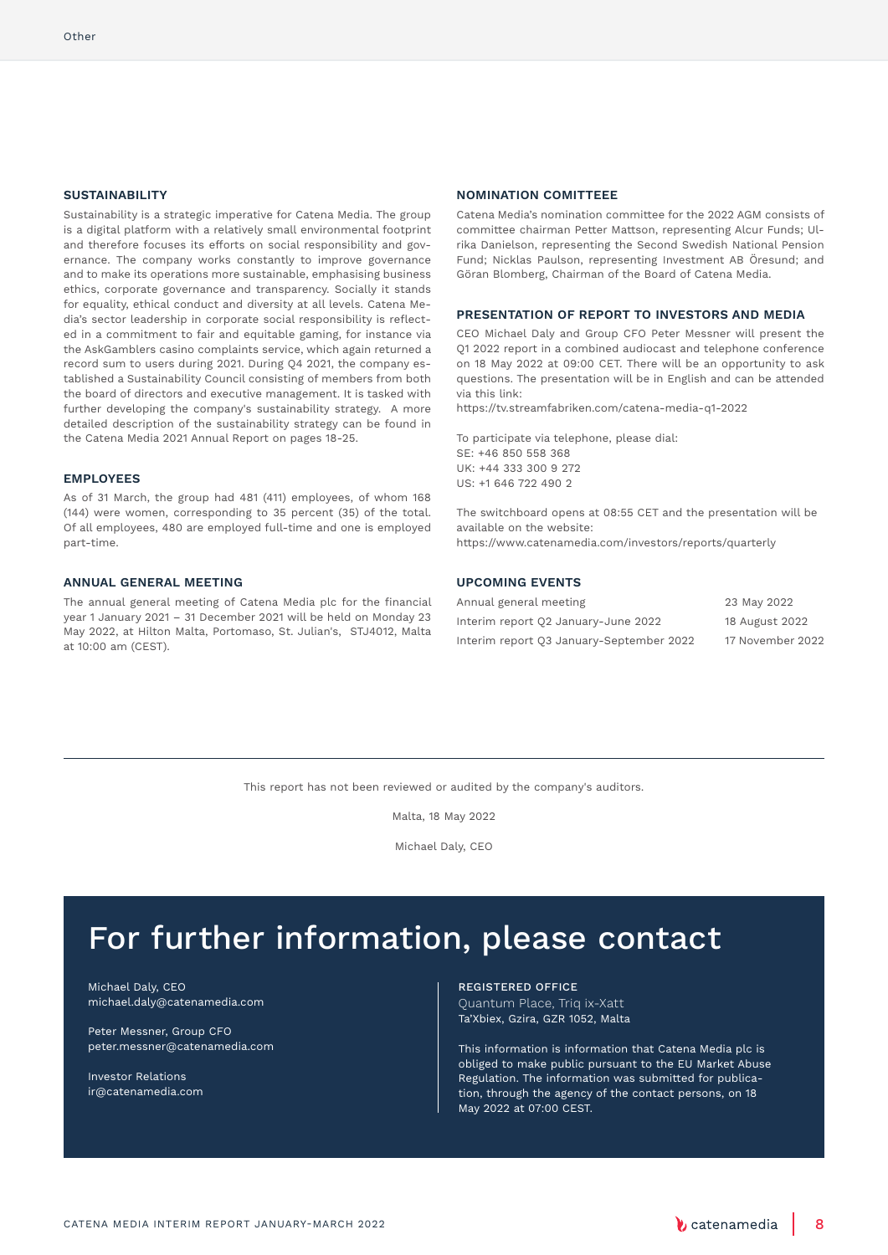#### **SUSTAINABILITY**

Sustainability is a strategic imperative for Catena Media. The group is a digital platform with a relatively small environmental footprint and therefore focuses its efforts on social responsibility and governance. The company works constantly to improve governance and to make its operations more sustainable, emphasising business ethics, corporate governance and transparency. Socially it stands for equality, ethical conduct and diversity at all levels. Catena Media's sector leadership in corporate social responsibility is reflected in a commitment to fair and equitable gaming, for instance via the AskGamblers casino complaints service, which again returned a record sum to users during 2021. During Q4 2021, the company established a Sustainability Council consisting of members from both the board of directors and executive management. It is tasked with further developing the company's sustainability strategy. A more detailed description of the sustainability strategy can be found in the Catena Media 2021 Annual Report on pages 18-25.

#### **EMPLOYEES**

As of 31 March, the group had 481 (411) employees, of whom 168 (144) were women, corresponding to 35 percent (35) of the total. Of all employees, 480 are employed full-time and one is employed part-time.

### **ANNUAL GENERAL MEETING**

The annual general meeting of Catena Media plc for the financial year 1 January 2021 – 31 December 2021 will be held on Monday 23 May 2022, at Hilton Malta, Portomaso, St. Julian's, STJ4012, Malta at 10:00 am (CEST).

#### **NOMINATION COMITTEEE**

Catena Media's nomination committee for the 2022 AGM consists of committee chairman Petter Mattson, representing Alcur Funds; Ulrika Danielson, representing the Second Swedish National Pension Fund; Nicklas Paulson, representing Investment AB Öresund; and Göran Blomberg, Chairman of the Board of Catena Media.

### **PRESENTATION OF REPORT TO INVESTORS AND MEDIA**

CEO Michael Daly and Group CFO Peter Messner will present the Q1 2022 report in a combined audiocast and telephone conference on 18 May 2022 at 09:00 CET. There will be an opportunity to ask questions. The presentation will be in English and can be attended via this link:

https://tv.streamfabriken.com/catena-media-q1-2022

To participate via telephone, please dial: SE: +46 850 558 368 UK: +44 333 300 9 272  $US: +16467224902$ 

The switchboard opens at 08:55 CET and the presentation will be available on the website: https://www.catenamedia.com/investors/reports/quarterly

### **UPCOMING EVENTS**

| Annual general meeting                   | 23 May 2022      |
|------------------------------------------|------------------|
| Interim report Q2 January-June 2022      | 18 August 2022   |
| Interim report Q3 January-September 2022 | 17 November 2022 |

This report has not been reviewed or audited by the company's auditors.

Malta, 18 May 2022

Michael Daly, CEO

## For further information, please contact

Michael Daly, CEO michael.daly@catenamedia.com

Peter Messner, Group CFO peter.messner@catenamedia.com

Investor Relations ir@catenamedia.com

REGISTERED OFFICE Quantum Place, Triq ix-Xatt Ta'Xbiex, Gzira, GZR 1052, Malta

This information is information that Catena Media plc is obliged to make public pursuant to the EU Market Abuse Regulation. The information was submitted for publication, through the agency of the contact persons, on 18 May 2022 at 07:00 CEST.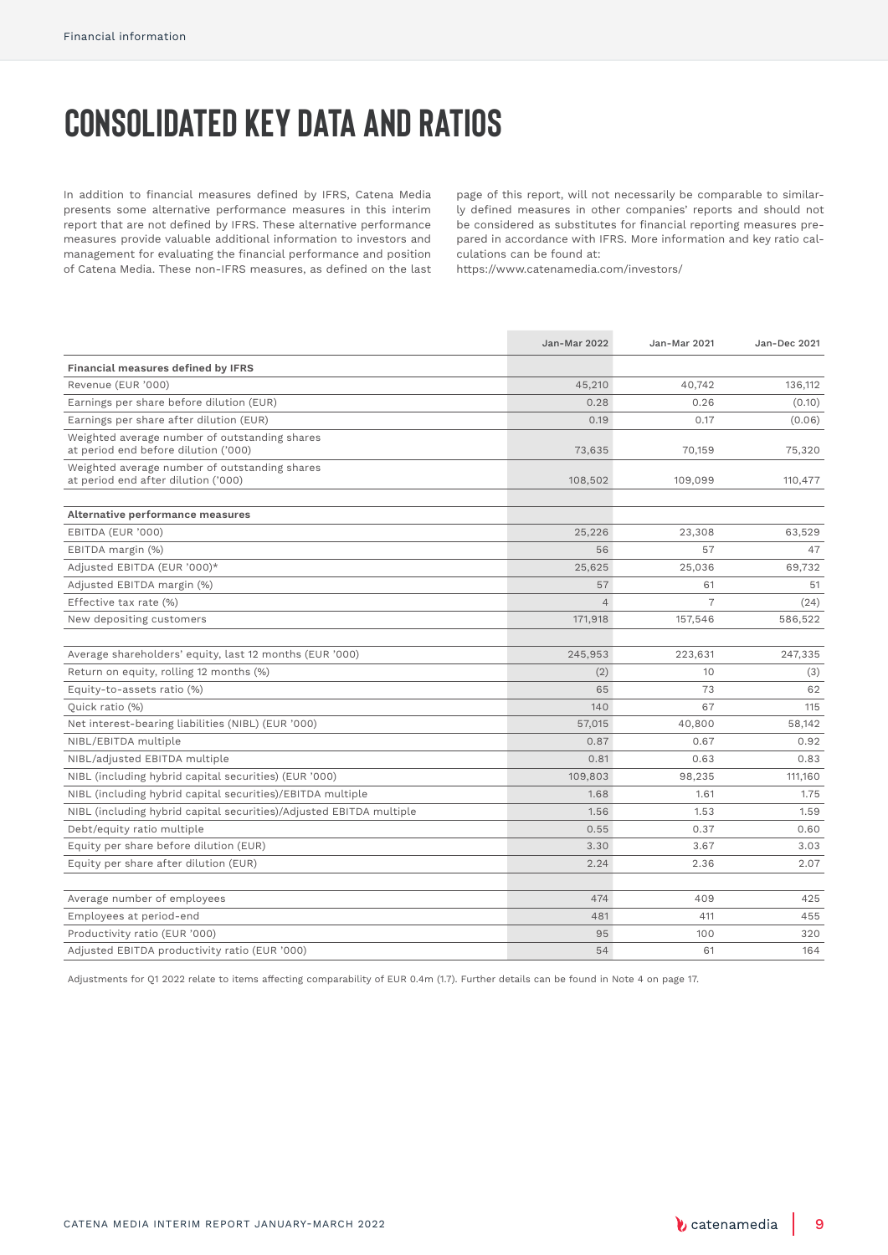# **Consolidated key data and ratios**

In addition to financial measures defined by IFRS, Catena Media presents some alternative performance measures in this interim report that are not defined by IFRS. These alternative performance measures provide valuable additional information to investors and management for evaluating the financial performance and position of Catena Media. These non-IFRS measures, as defined on the last page of this report, will not necessarily be comparable to similarly defined measures in other companies' reports and should not be considered as substitutes for financial reporting measures prepared in accordance with IFRS. More information and key ratio calculations can be found at:

https://www.catenamedia.com/investors/

|                                                                                       | <b>Jan-Mar 2022</b> | Jan-Mar 2021   | Jan-Dec 2021 |
|---------------------------------------------------------------------------------------|---------------------|----------------|--------------|
| Financial measures defined by IFRS                                                    |                     |                |              |
| Revenue (EUR '000)                                                                    | 45,210              | 40,742         | 136,112      |
| Earnings per share before dilution (EUR)                                              | 0.28                | 0.26           | (0.10)       |
| Earnings per share after dilution (EUR)                                               | 0.19                | 0.17           | (0.06)       |
| Weighted average number of outstanding shares<br>at period end before dilution ('000) | 73,635              | 70,159         | 75,320       |
| Weighted average number of outstanding shares<br>at period end after dilution ('000)  | 108,502             | 109,099        | 110,477      |
| Alternative performance measures                                                      |                     |                |              |
| EBITDA (EUR '000)                                                                     | 25,226              | 23,308         | 63,529       |
| EBITDA margin (%)                                                                     | 56                  | 57             | 47           |
| Adjusted EBITDA (EUR '000)*                                                           | 25,625              | 25,036         | 69,732       |
| Adjusted EBITDA margin (%)                                                            | 57                  | 61             | 51           |
| Effective tax rate (%)                                                                | $\overline{4}$      | $\overline{7}$ | (24)         |
| New depositing customers                                                              | 171,918             | 157,546        | 586,522      |
|                                                                                       |                     |                |              |
| Average shareholders' equity, last 12 months (EUR '000)                               | 245,953             | 223,631        | 247,335      |
| Return on equity, rolling 12 months (%)                                               | (2)                 | 10             | (3)          |
| Equity-to-assets ratio (%)                                                            | 65                  | 73             | 62           |
| Quick ratio (%)                                                                       | 140                 | 67             | 115          |
| Net interest-bearing liabilities (NIBL) (EUR '000)                                    | 57,015              | 40,800         | 58,142       |
| NIBL/EBITDA multiple                                                                  | 0.87                | 0.67           | 0.92         |
| NIBL/adjusted EBITDA multiple                                                         | 0.81                | 0.63           | 0.83         |
| NIBL (including hybrid capital securities) (EUR '000)                                 | 109,803             | 98,235         | 111,160      |
| NIBL (including hybrid capital securities)/EBITDA multiple                            | 1.68                | 1.61           | 1.75         |
| NIBL (including hybrid capital securities)/Adjusted EBITDA multiple                   | 1.56                | 1.53           | 1.59         |
| Debt/equity ratio multiple                                                            | 0.55                | 0.37           | 0.60         |
| Equity per share before dilution (EUR)                                                | 3.30                | 3.67           | 3.03         |
| Equity per share after dilution (EUR)                                                 | 2.24                | 2.36           | 2.07         |
| Average number of employees                                                           | 474                 | 409            | 425          |
| Employees at period-end                                                               | 481                 | 411            | 455          |
| Productivity ratio (EUR '000)                                                         | 95                  | 100            | 320          |
| Adjusted EBITDA productivity ratio (EUR '000)                                         | 54                  | 61             | 164          |
|                                                                                       |                     |                |              |

Adjustments for Q1 2022 relate to items affecting comparability of EUR 0.4m (1.7). Further details can be found in Note 4 on page 17.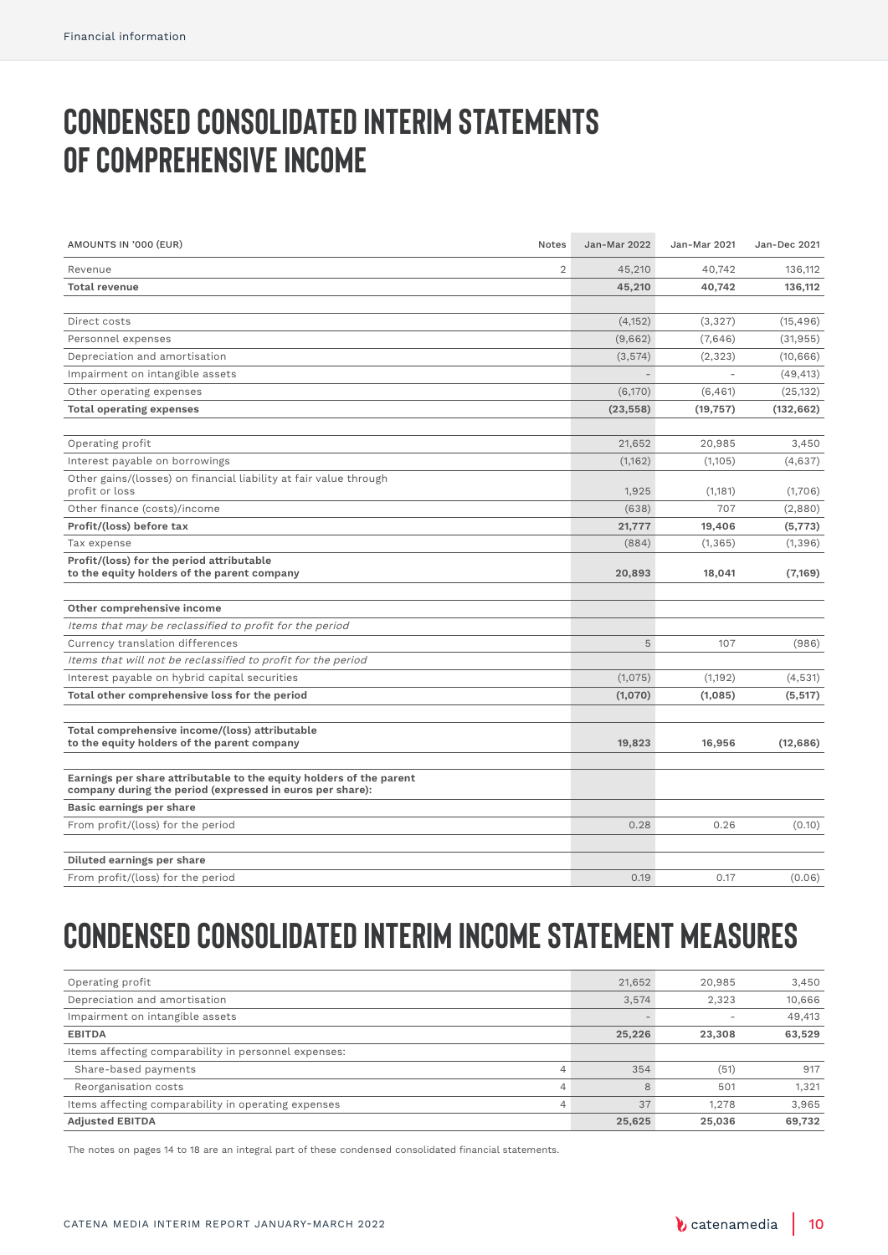# **Condensed consolidated interim statements OF COMPREHENSIVE INCOME**

| AMOUNTS IN '000 (EUR)                                                                                                            | Notes | <b>Jan-Mar 2022</b> | Jan-Mar 2021 | Jan-Dec 2021 |
|----------------------------------------------------------------------------------------------------------------------------------|-------|---------------------|--------------|--------------|
| Revenue                                                                                                                          | 2     | 45,210              | 40,742       | 136,112      |
| <b>Total revenue</b>                                                                                                             |       | 45,210              | 40,742       | 136,112      |
|                                                                                                                                  |       |                     |              |              |
| Direct costs                                                                                                                     |       | (4, 152)            | (3,327)      | (15, 496)    |
| Personnel expenses                                                                                                               |       | (9,662)             | (7,646)      | (31, 955)    |
| Depreciation and amortisation                                                                                                    |       | (3,574)             | (2, 323)     | (10, 666)    |
| Impairment on intangible assets                                                                                                  |       |                     |              | (49, 413)    |
| Other operating expenses                                                                                                         |       | (6,170)             | (6, 461)     | (25, 132)    |
| <b>Total operating expenses</b>                                                                                                  |       | (23, 558)           | (19, 757)    | (132, 662)   |
|                                                                                                                                  |       |                     |              |              |
| Operating profit                                                                                                                 |       | 21,652              | 20,985       | 3,450        |
| Interest payable on borrowings                                                                                                   |       | (1, 162)            | (1,105)      | (4,637)      |
| Other gains/(losses) on financial liability at fair value through                                                                |       |                     |              |              |
| profit or loss                                                                                                                   |       | 1,925               | (1,181)      | (1,706)      |
| Other finance (costs)/income                                                                                                     |       | (638)               | 707          | (2,880)      |
| Profit/(loss) before tax                                                                                                         |       | 21,777              | 19,406       | (5, 773)     |
| Tax expense                                                                                                                      |       | (884)               | (1, 365)     | (1, 396)     |
| Profit/(loss) for the period attributable<br>to the equity holders of the parent company                                         |       | 20,893              | 18,041       | (7, 169)     |
| Other comprehensive income                                                                                                       |       |                     |              |              |
| Items that may be reclassified to profit for the period                                                                          |       |                     |              |              |
| Currency translation differences                                                                                                 |       | 5                   | 107          | (986)        |
| Items that will not be reclassified to profit for the period                                                                     |       |                     |              |              |
| Interest payable on hybrid capital securities                                                                                    |       | (1,075)             | (1,192)      | (4,531)      |
| Total other comprehensive loss for the period                                                                                    |       | (1,070)             | (1,085)      | (5, 517)     |
|                                                                                                                                  |       |                     |              |              |
| Total comprehensive income/(loss) attributable<br>to the equity holders of the parent company                                    |       | 19,823              | 16,956       | (12, 686)    |
|                                                                                                                                  |       |                     |              |              |
| Earnings per share attributable to the equity holders of the parent<br>company during the period (expressed in euros per share): |       |                     |              |              |
| Basic earnings per share                                                                                                         |       |                     |              |              |
| From profit/(loss) for the period                                                                                                |       | 0.28                | 0.26         | (0.10)       |
|                                                                                                                                  |       |                     |              |              |
| Diluted earnings per share<br>From profit/(loss) for the period                                                                  |       | 0.19                | 0.17         | (0.06)       |
|                                                                                                                                  |       |                     |              |              |

# **Condensed consolidated interim income statement measures**

| Operating profit                                         | 21,652 | 20,985 | 3,450  |
|----------------------------------------------------------|--------|--------|--------|
| Depreciation and amortisation                            | 3.574  | 2.323  | 10,666 |
| Impairment on intangible assets                          |        |        | 49,413 |
| <b>EBITDA</b>                                            | 25,226 | 23,308 | 63,529 |
| Items affecting comparability in personnel expenses:     |        |        |        |
| Share-based payments<br>$\overline{4}$                   | 354    | (51)   | 917    |
| Reorganisation costs<br>$\overline{4}$                   | 8      | 501    | 1.321  |
| Items affecting comparability in operating expenses<br>4 | 37     | 1.278  | 3.965  |
| <b>Adjusted EBITDA</b>                                   | 25,625 | 25,036 | 69.732 |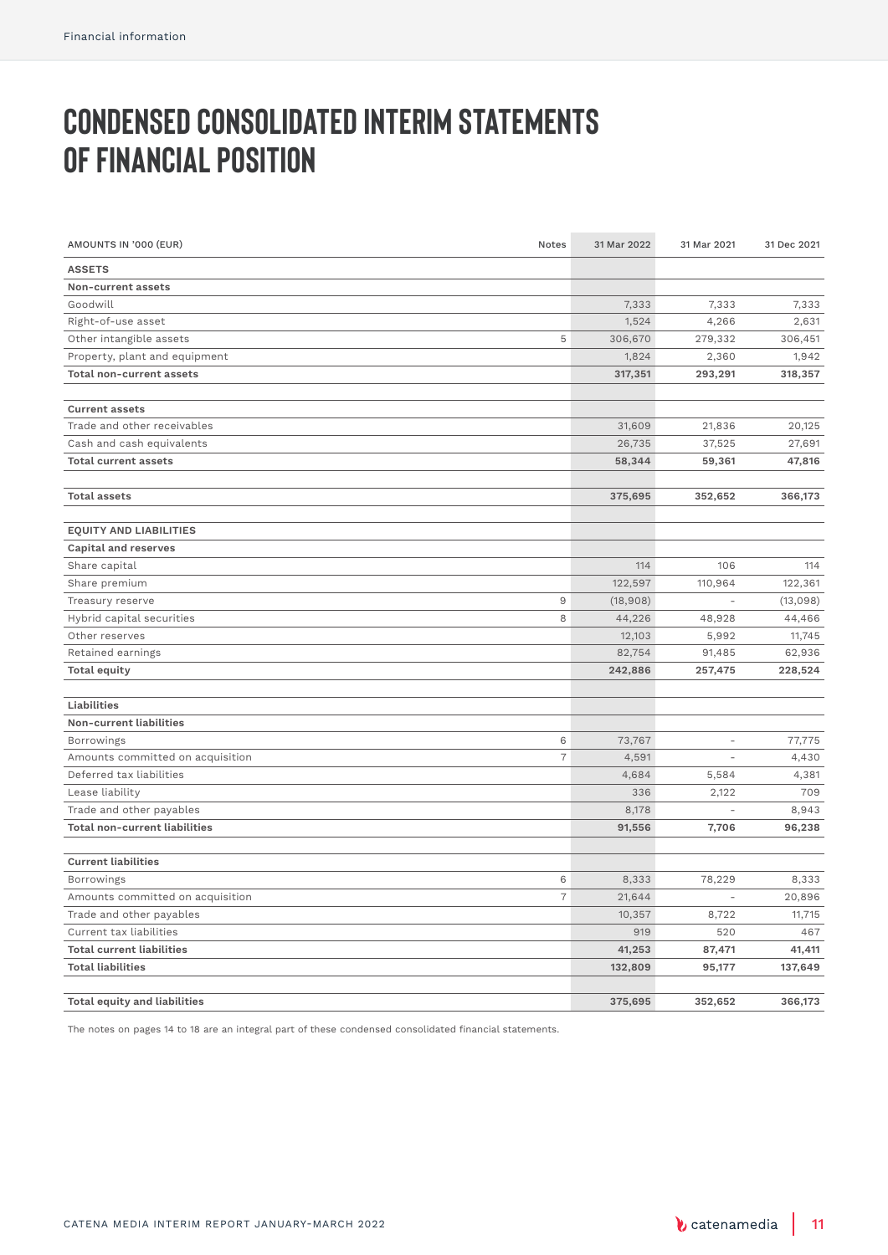# **Condensed consolidated interim statements of financial position**

| AMOUNTS IN '000 (EUR)               | Notes          | 31 Mar 2022 | 31 Mar 2021              | 31 Dec 2021 |
|-------------------------------------|----------------|-------------|--------------------------|-------------|
| <b>ASSETS</b>                       |                |             |                          |             |
| Non-current assets                  |                |             |                          |             |
| Goodwill                            |                | 7,333       | 7,333                    | 7,333       |
| Right-of-use asset                  |                | 1,524       | 4,266                    | 2,631       |
| Other intangible assets             | 5              | 306,670     | 279,332                  | 306,451     |
| Property, plant and equipment       |                | 1,824       | 2,360                    | 1,942       |
| <b>Total non-current assets</b>     |                | 317,351     | 293,291                  | 318,357     |
|                                     |                |             |                          |             |
| <b>Current assets</b>               |                |             |                          |             |
| Trade and other receivables         |                | 31,609      | 21,836                   | 20,125      |
| Cash and cash equivalents           |                | 26,735      | 37,525                   | 27,691      |
| <b>Total current assets</b>         |                | 58,344      | 59,361                   | 47,816      |
|                                     |                |             |                          |             |
| <b>Total assets</b>                 |                | 375,695     | 352,652                  | 366,173     |
|                                     |                |             |                          |             |
| <b>EQUITY AND LIABILITIES</b>       |                |             |                          |             |
| <b>Capital and reserves</b>         |                |             |                          |             |
| Share capital                       |                | 114         | 106                      | 114         |
| Share premium                       |                | 122,597     | 110,964                  | 122,361     |
| Treasury reserve                    | 9              | (18,908)    | $\overline{\phantom{a}}$ | (13,098)    |
| Hybrid capital securities           | 8              | 44,226      | 48,928                   | 44,466      |
| Other reserves                      |                | 12,103      | 5,992                    | 11,745      |
| Retained earnings                   |                | 82,754      | 91,485                   | 62,936      |
| <b>Total equity</b>                 |                | 242,886     | 257,475                  | 228,524     |
|                                     |                |             |                          |             |
| Liabilities                         |                |             |                          |             |
| Non-current liabilities             |                |             |                          |             |
| <b>Borrowings</b>                   | 6              | 73,767      |                          | 77,775      |
| Amounts committed on acquisition    | $\overline{7}$ | 4,591       |                          | 4,430       |
| Deferred tax liabilities            |                | 4,684       | 5,584                    | 4,381       |
| Lease liability                     |                | 336         | 2,122                    | 709         |
| Trade and other payables            |                | 8,178       |                          | 8,943       |
| Total non-current liabilities       |                | 91,556      | 7,706                    | 96,238      |
|                                     |                |             |                          |             |
| <b>Current liabilities</b>          |                |             |                          |             |
| <b>Borrowings</b>                   | 6              | 8,333       | 78,229                   | 8,333       |
| Amounts committed on acquisition    | $\overline{7}$ | 21,644      |                          | 20,896      |
| Trade and other payables            |                | 10,357      | 8,722                    | 11,715      |
| Current tax liabilities             |                | 919         | 520                      | 467         |
| <b>Total current liabilities</b>    |                | 41,253      | 87,471                   | 41,411      |
| <b>Total liabilities</b>            |                | 132,809     | 95,177                   | 137,649     |
|                                     |                |             |                          |             |
| <b>Total equity and liabilities</b> |                | 375,695     | 352,652                  | 366,173     |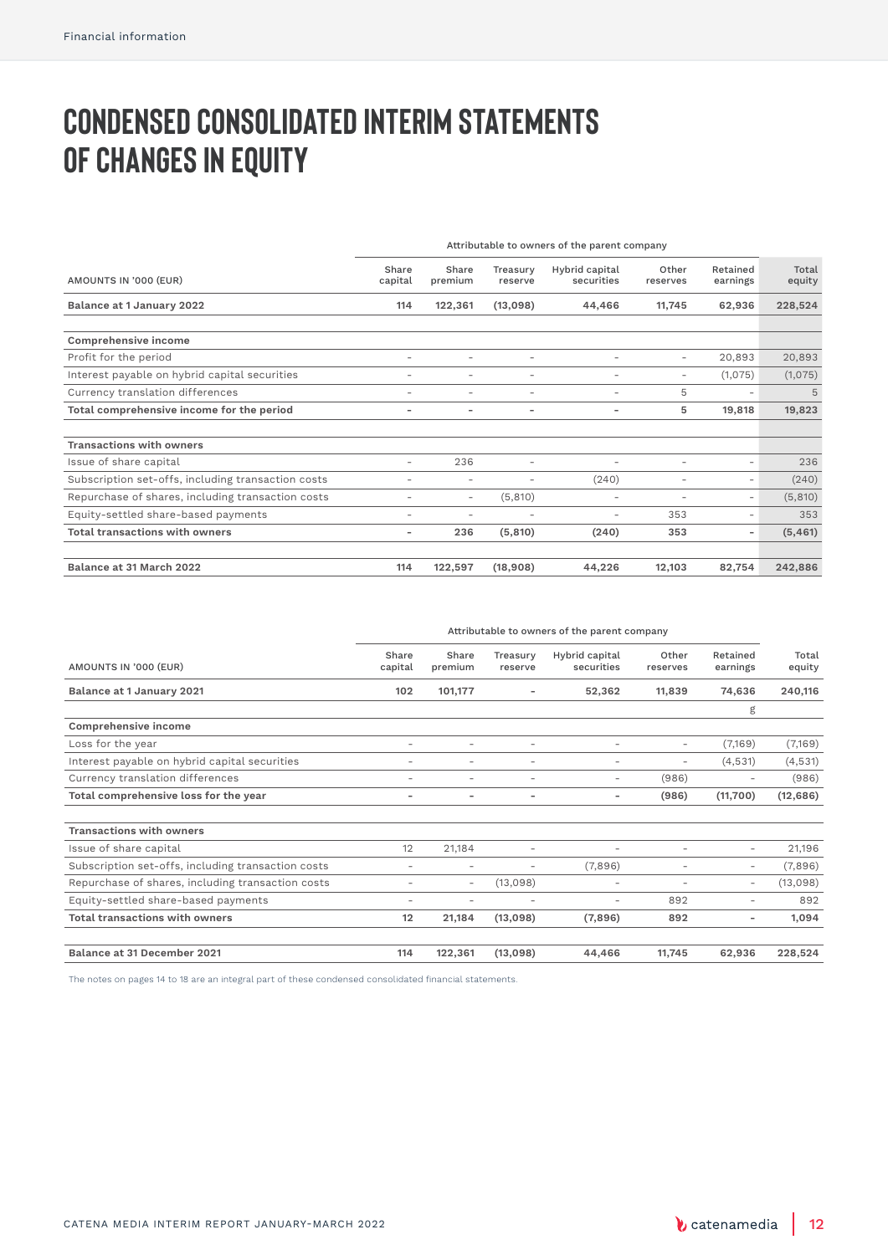# **Condensed consolidated interim statements OF CHANGES IN EQUITY**

|                                                    | Attributable to owners of the parent company |                          |                          |                              |                          |                          |                 |
|----------------------------------------------------|----------------------------------------------|--------------------------|--------------------------|------------------------------|--------------------------|--------------------------|-----------------|
| AMOUNTS IN '000 (EUR)                              | Share<br>capital                             | Share<br>premium         | Treasurv<br>reserve      | Hybrid capital<br>securities | Other<br>reserves        | Retained<br>earnings     | Total<br>equity |
| Balance at 1 January 2022                          | 114                                          | 122,361                  | (13,098)                 | 44,466                       | 11.745                   | 62,936                   | 228,524         |
| Comprehensive income                               |                                              |                          |                          |                              |                          |                          |                 |
| Profit for the period                              | ۰                                            | -                        | $\overline{\phantom{a}}$ | ۰                            | $\sim$                   | 20,893                   | 20,893          |
| Interest payable on hybrid capital securities      | ۰                                            | $\overline{\phantom{a}}$ | $\overline{\phantom{a}}$ | ۰                            | $\overline{\phantom{a}}$ | (1,075)                  | (1,075)         |
| Currency translation differences                   | $\overline{\phantom{a}}$                     | $\overline{\phantom{a}}$ | $\overline{\phantom{a}}$ | ۰                            | 5                        | $\overline{\phantom{a}}$ | 5               |
| Total comprehensive income for the period          | $\overline{\phantom{0}}$                     | $\overline{\phantom{a}}$ | $\overline{\phantom{a}}$ | -                            | 5                        | 19,818                   | 19,823          |
| <b>Transactions with owners</b>                    |                                              |                          |                          |                              |                          |                          |                 |
| Issue of share capital                             | ۰                                            | 236                      | ٠                        | $\overline{\phantom{a}}$     | $\overline{\phantom{a}}$ | ۰                        | 236             |
| Subscription set-offs, including transaction costs | ۰                                            | -                        | $\overline{\phantom{a}}$ | (240)                        | $\overline{\phantom{a}}$ | -                        | (240)           |
| Repurchase of shares, including transaction costs  | ۰                                            | $\overline{\phantom{a}}$ | (5,810)                  | ۰                            | $\overline{\phantom{a}}$ | $\overline{\phantom{0}}$ | (5,810)         |
| Equity-settled share-based payments                | ۰                                            | $\overline{\phantom{a}}$ | $\sim$                   | $\overline{\phantom{a}}$     | 353                      | $\overline{\phantom{a}}$ | 353             |
| Total transactions with owners                     | -                                            | 236                      | (5, 810)                 | (240)                        | 353                      | $\overline{\phantom{0}}$ | (5, 461)        |
| Balance at 31 March 2022                           | 114                                          | 122,597                  | (18,908)                 | 44,226                       | 12.103                   | 82,754                   | 242,886         |

|                                                    | Attributable to owners of the parent company |                          |                          |                              |                          |                          |                 |
|----------------------------------------------------|----------------------------------------------|--------------------------|--------------------------|------------------------------|--------------------------|--------------------------|-----------------|
| AMOUNTS IN '000 (EUR)                              | Share<br>capital                             | Share<br>premium         | Treasury<br>reserve      | Hybrid capital<br>securities | Other<br>reserves        | Retained<br>earnings     | Total<br>equity |
| Balance at 1 January 2021                          | 102                                          | 101,177                  |                          | 52,362                       | 11,839                   | 74,636                   | 240,116         |
|                                                    |                                              |                          |                          |                              |                          | g                        |                 |
| Comprehensive income                               |                                              |                          |                          |                              |                          |                          |                 |
| Loss for the year                                  | $\overline{\phantom{0}}$                     | ۰                        | ۰                        | ۰                            | $\overline{\phantom{a}}$ | (7,169)                  | (7,169)         |
| Interest payable on hybrid capital securities      | $\overline{\phantom{0}}$                     | ۰                        | ۰                        | $\overline{\phantom{a}}$     | $\overline{\phantom{a}}$ | (4,531)                  | (4,531)         |
| Currency translation differences                   | $\overline{\phantom{0}}$                     | ۰                        | ۰                        | $\overline{\phantom{a}}$     | (986)                    | $\overline{\phantom{a}}$ | (986)           |
| Total comprehensive loss for the year              | -                                            | $\overline{\phantom{0}}$ | $\overline{\phantom{0}}$ | $\overline{\phantom{a}}$     | (986)                    | (11,700)                 | (12, 686)       |
| <b>Transactions with owners</b>                    |                                              |                          |                          |                              |                          |                          |                 |
| Issue of share capital                             | 12                                           | 21,184                   | ۰                        |                              | $\overline{\phantom{a}}$ | $\overline{\phantom{a}}$ | 21,196          |
| Subscription set-offs, including transaction costs | -                                            | -                        | ۰                        | (7,896)                      | $\overline{\phantom{a}}$ | $\sim$                   | (7,896)         |
| Repurchase of shares, including transaction costs  | -                                            | $\overline{\phantom{a}}$ | (13,098)                 | $\overline{\phantom{a}}$     | $\overline{\phantom{a}}$ | $\overline{\phantom{a}}$ | (13,098)        |
| Equity-settled share-based payments                | -                                            | ۰                        | ۰                        | $\overline{\phantom{a}}$     | 892                      | $\overline{\phantom{0}}$ | 892             |
| <b>Total transactions with owners</b>              | 12                                           | 21,184                   | (13,098)                 | (7,896)                      | 892                      | $\overline{\phantom{a}}$ | 1.094           |
| Balance at 31 December 2021                        | 114                                          | 122,361                  | (13,098)                 | 44,466                       | 11,745                   | 62.936                   | 228,524         |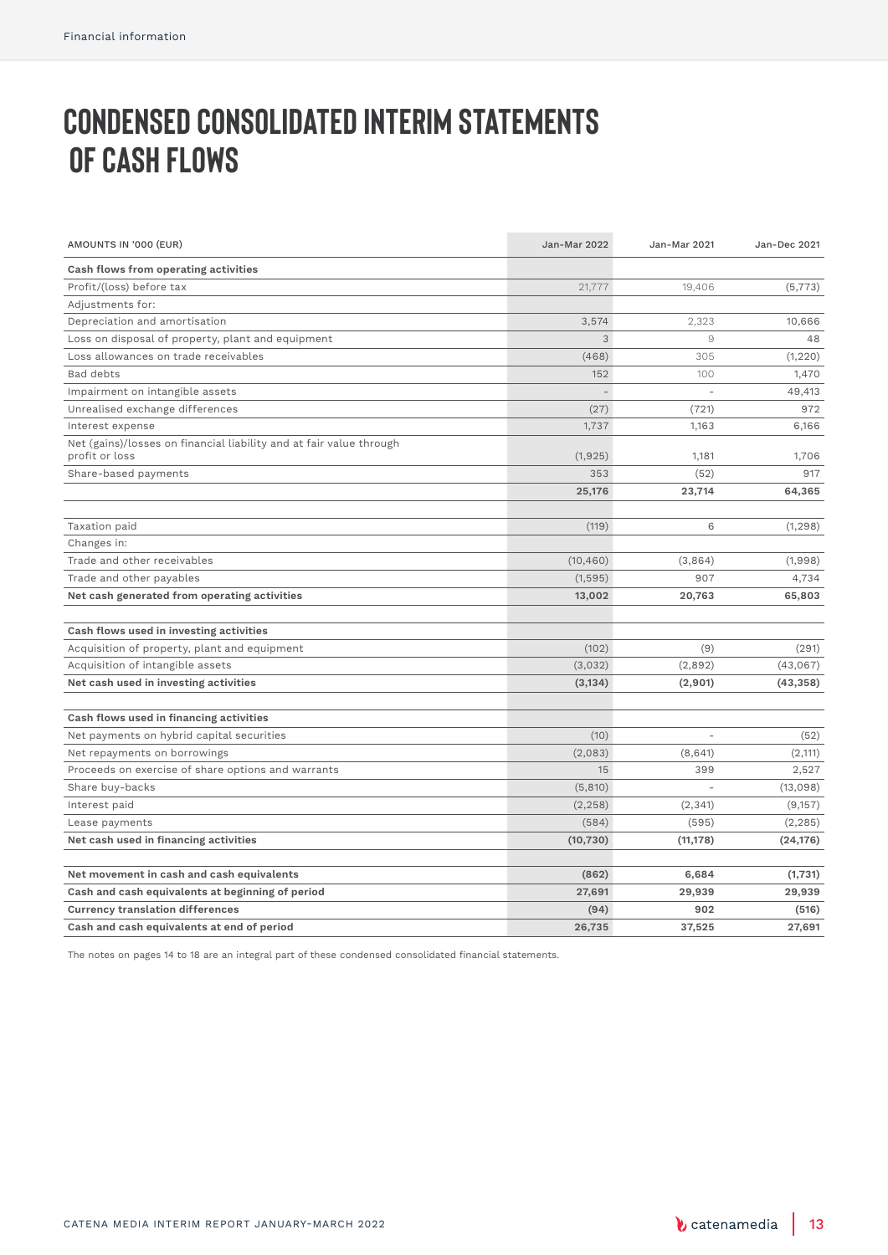# **Condensed consolidated interim statements OF CASH FLOWS**

| AMOUNTS IN '000 (EUR)                                                                 | <b>Jan-Mar 2022</b> | Jan-Mar 2021   | <b>Jan-Dec 2021</b> |
|---------------------------------------------------------------------------------------|---------------------|----------------|---------------------|
| Cash flows from operating activities                                                  |                     |                |                     |
| Profit/(loss) before tax                                                              | 21,777              | 19,406         | (5, 773)            |
| Adjustments for:                                                                      |                     |                |                     |
| Depreciation and amortisation                                                         | 3,574               | 2,323          | 10,666              |
| Loss on disposal of property, plant and equipment                                     | 3                   | $\overline{9}$ | 48                  |
| Loss allowances on trade receivables                                                  | (468)               | 305            | (1, 220)            |
| Bad debts                                                                             | 152                 | 100            | 1,470               |
| Impairment on intangible assets                                                       | ÷                   | ÷.             | 49,413              |
| Unrealised exchange differences                                                       | (27)                | (721)          | 972                 |
| Interest expense                                                                      | 1,737               | 1,163          | 6,166               |
| Net (gains)/losses on financial liability and at fair value through<br>profit or loss | (1,925)             | 1,181          | 1,706               |
| Share-based payments                                                                  | 353                 | (52)           | 917                 |
|                                                                                       | 25,176              | 23,714         | 64,365              |
|                                                                                       |                     |                |                     |
| Taxation paid                                                                         | (119)               | 6              | (1, 298)            |
| Changes in:                                                                           |                     |                |                     |
| Trade and other receivables                                                           | (10, 460)           | (3,864)        | (1,998)             |
| Trade and other payables                                                              | (1,595)             | 907            | 4,734               |
| Net cash generated from operating activities                                          | 13,002              | 20,763         | 65,803              |
|                                                                                       |                     |                |                     |
| Cash flows used in investing activities                                               |                     |                |                     |
| Acquisition of property, plant and equipment                                          | (102)               | (9)            | (291)               |
| Acquisition of intangible assets                                                      | (3,032)             | (2,892)        | (43,067)            |
| Net cash used in investing activities                                                 | (3, 134)            | (2,901)        | (43, 358)           |
|                                                                                       |                     |                |                     |
| Cash flows used in financing activities                                               |                     |                |                     |
| Net payments on hybrid capital securities                                             | (10)                | L.             | (52)                |
| Net repayments on borrowings                                                          | (2,083)             | (8,641)        | (2, 111)            |
| Proceeds on exercise of share options and warrants                                    | 15                  | 399            | 2,527               |
| Share buy-backs                                                                       | (5, 810)            |                | (13,098)            |
| Interest paid                                                                         | (2, 258)            | (2, 341)       | (9,157)             |
| Lease payments                                                                        | (584)               | (595)          | (2, 285)            |
| Net cash used in financing activities                                                 | (10, 730)           | (11, 178)      | (24, 176)           |
|                                                                                       |                     |                |                     |
| Net movement in cash and cash equivalents                                             | (862)               | 6,684          | (1,731)             |
| Cash and cash equivalents at beginning of period                                      | 27,691              | 29,939         | 29,939              |
| <b>Currency translation differences</b>                                               | (94)                | 902            | (516)               |
| Cash and cash equivalents at end of period                                            | 26,735              | 37,525         | 27,691              |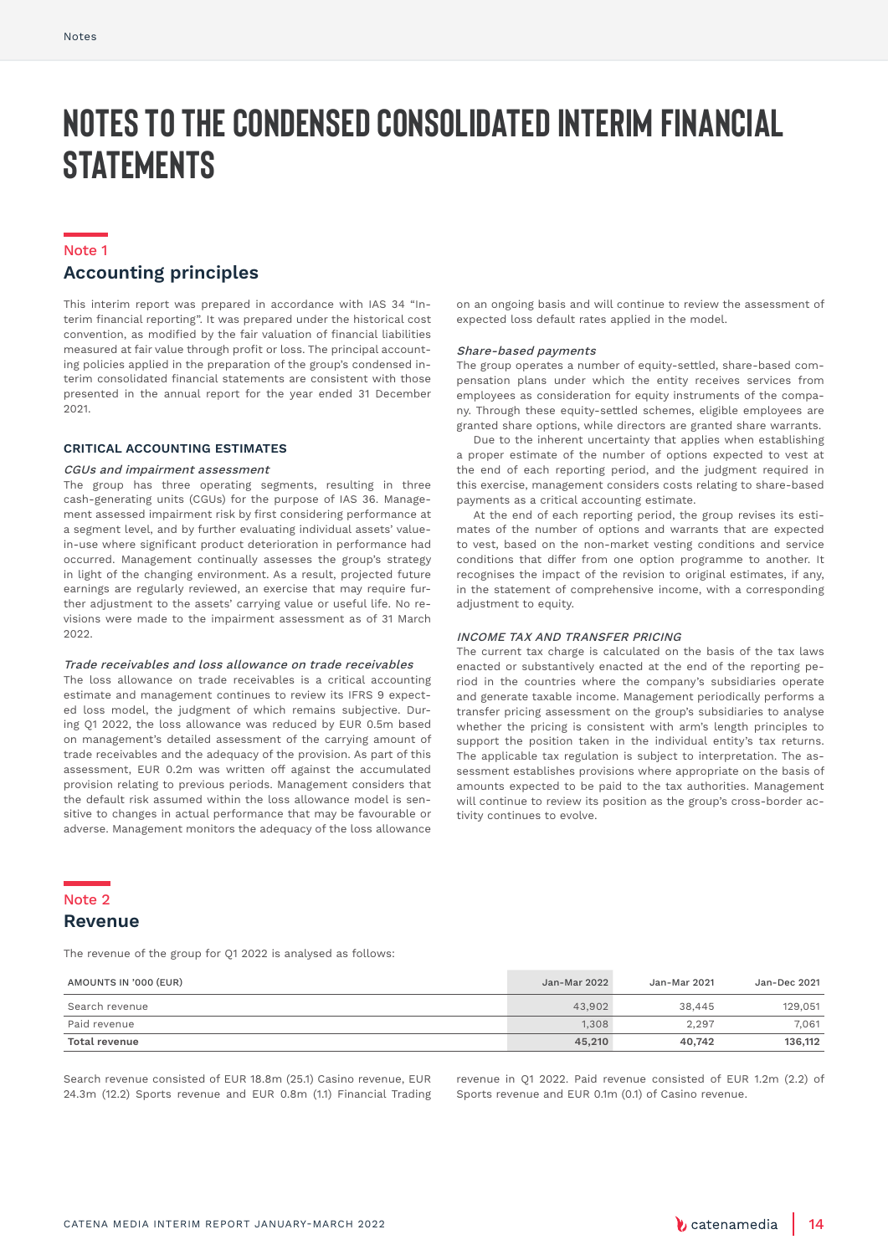# **Notes to the condensed consolidated interim financial statements**

#### Note 1

### **Accounting principles**

This interim report was prepared in accordance with IAS 34 "Interim financial reporting". It was prepared under the historical cost convention, as modified by the fair valuation of financial liabilities measured at fair value through profit or loss. The principal accounting policies applied in the preparation of the group's condensed interim consolidated financial statements are consistent with those presented in the annual report for the year ended 31 December  $2021$ 

### **CRITICAL ACCOUNTING ESTIMATES**

#### CGUs and impairment assessment

The group has three operating segments, resulting in three cash-generating units (CGUs) for the purpose of IAS 36. Management assessed impairment risk by first considering performance at a segment level, and by further evaluating individual assets' valuein-use where significant product deterioration in performance had occurred. Management continually assesses the group's strategy in light of the changing environment. As a result, projected future earnings are regularly reviewed, an exercise that may require further adjustment to the assets' carrying value or useful life. No revisions were made to the impairment assessment as of 31 March  $2022$ 

#### Trade receivables and loss allowance on trade receivables

The loss allowance on trade receivables is a critical accounting estimate and management continues to review its IFRS 9 expected loss model, the judgment of which remains subjective. During Q1 2022, the loss allowance was reduced by EUR 0.5m based on management's detailed assessment of the carrying amount of trade receivables and the adequacy of the provision. As part of this assessment, EUR 0.2m was written off against the accumulated provision relating to previous periods. Management considers that the default risk assumed within the loss allowance model is sensitive to changes in actual performance that may be favourable or adverse. Management monitors the adequacy of the loss allowance

on an ongoing basis and will continue to review the assessment of expected loss default rates applied in the model.

#### Share-based payments

The group operates a number of equity-settled, share-based compensation plans under which the entity receives services from employees as consideration for equity instruments of the company. Through these equity-settled schemes, eligible employees are granted share options, while directors are granted share warrants.

Due to the inherent uncertainty that applies when establishing a proper estimate of the number of options expected to vest at the end of each reporting period, and the judgment required in this exercise, management considers costs relating to share-based payments as a critical accounting estimate.

At the end of each reporting period, the group revises its estimates of the number of options and warrants that are expected to vest, based on the non-market vesting conditions and service conditions that differ from one option programme to another. It recognises the impact of the revision to original estimates, if any, in the statement of comprehensive income, with a corresponding adjustment to equity.

### INCOME TAX AND TRANSFER PRICING

The current tax charge is calculated on the basis of the tax laws enacted or substantively enacted at the end of the reporting period in the countries where the company's subsidiaries operate and generate taxable income. Management periodically performs a transfer pricing assessment on the group's subsidiaries to analyse whether the pricing is consistent with arm's length principles to support the position taken in the individual entity's tax returns. The applicable tax regulation is subject to interpretation. The assessment establishes provisions where appropriate on the basis of amounts expected to be paid to the tax authorities. Management will continue to review its position as the group's cross-border activity continues to evolve.

#### Note 2

### **Revenue**

The revenue of the group for Q1 2022 is analysed as follows:

| AMOUNTS IN '000 (EUR) | Jan-Mar 2022 | Jan-Mar 2021 | Jan-Dec 2021 |
|-----------------------|--------------|--------------|--------------|
| Search revenue        | 43.902       | 38,445       | 129,051      |
| Paid revenue          | 1.308        | 2.297        | 7.061        |
| Total revenue         | 45,210       | 40.742       | 136,112      |

Search revenue consisted of EUR 18.8m (25.1) Casino revenue, EUR 24.3m (12.2) Sports revenue and EUR 0.8m (1.1) Financial Trading

revenue in Q1 2022. Paid revenue consisted of EUR 1.2m (2.2) of Sports revenue and EUR 0.1m (0.1) of Casino revenue.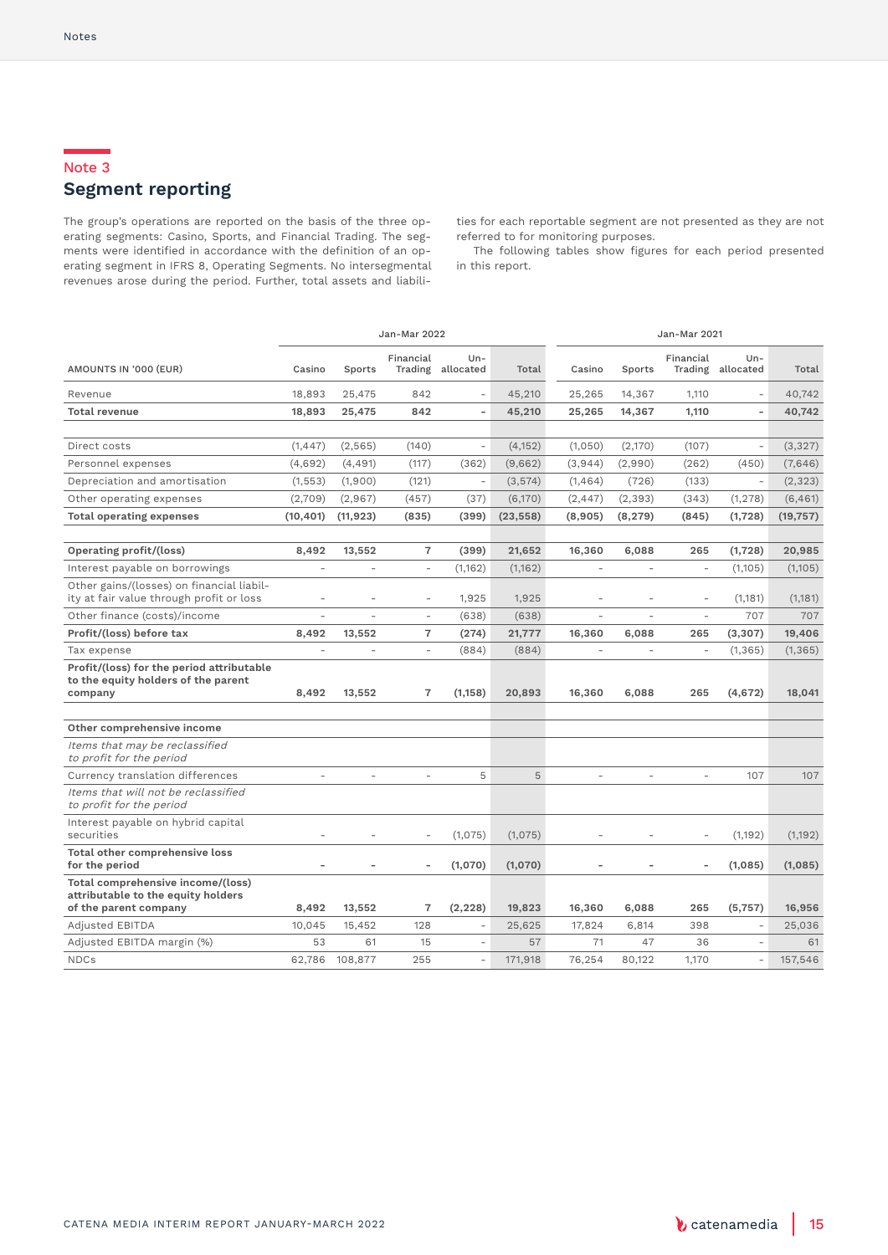### Note 3 **Segment reporting**

The group's operations are reported on the basis of the three operating segments: Casino, Sports, and Financial Trading. The segments were identified in accordance with the definition of an operating segment in IFRS 8, Operating Segments. No intersegmental revenues arose during the period. Further, total assets and liabilities for each reportable segment are not presented as they are not referred to for monitoring purposes.

The following tables show figures for each period presented in this report.

|                                                                                                  | Jan-Mar 2022   |                |                          |                            | Jan-Mar 2021 |                          |                |                          |                             |           |
|--------------------------------------------------------------------------------------------------|----------------|----------------|--------------------------|----------------------------|--------------|--------------------------|----------------|--------------------------|-----------------------------|-----------|
| AMOUNTS IN '000 (EUR)                                                                            | Casino         | Sports         | Financial                | $Un-$<br>Trading allocated | Total        | Casino                   | Sports         | Financial                | $Un -$<br>Trading allocated | Total     |
| Revenue                                                                                          | 18,893         | 25,475         | 842                      | $\overline{a}$             | 45,210       | 25,265                   | 14,367         | 1,110                    | $\overline{a}$              | 40,742    |
| <b>Total revenue</b>                                                                             | 18,893         | 25,475         | 842                      | L,                         | 45,210       | 25,265                   | 14,367         | 1,110                    | ÷,                          | 40,742    |
|                                                                                                  |                |                |                          |                            |              |                          |                |                          |                             |           |
| Direct costs                                                                                     | (1, 447)       | (2, 565)       | (140)                    | $\overline{a}$             | (4, 152)     | (1,050)                  | (2,170)        | (107)                    | $\overline{a}$              | (3,327)   |
| Personnel expenses                                                                               | (4,692)        | (4, 491)       | (117)                    | (362)                      | (9,662)      | (3,944)                  | (2,990)        | (262)                    | (450)                       | (7,646)   |
| Depreciation and amortisation                                                                    | (1, 553)       | (1,900)        | (121)                    | $\overline{\phantom{a}}$   | (3,574)      | (1,464)                  | (726)          | (133)                    | $\overline{a}$              | (2, 323)  |
| Other operating expenses                                                                         | (2,709)        | (2,967)        | (457)                    | (37)                       | (6,170)      | (2, 447)                 | (2, 393)       | (343)                    | (1, 278)                    | (6, 461)  |
| <b>Total operating expenses</b>                                                                  | (10, 401)      | (11, 923)      | (835)                    | (399)                      | (23, 558)    | (8,905)                  | (8, 279)       | (845)                    | (1,728)                     | (19, 757) |
|                                                                                                  |                |                |                          |                            |              |                          |                |                          |                             |           |
| Operating profit/(loss)                                                                          | 8,492          | 13,552         | $\overline{7}$           | (399)                      | 21,652       | 16,360                   | 6,088          | 265                      | (1,728)                     | 20,985    |
| Interest payable on borrowings                                                                   | $\overline{a}$ | $\overline{a}$ | $\overline{\phantom{0}}$ | (1,162)                    | (1,162)      | $\overline{\phantom{a}}$ | $\overline{a}$ | $\bar{ }$                | (1,105)                     | (1,105)   |
| Other gains/(losses) on financial liabil-<br>ity at fair value through profit or loss            | ٠              | L.             | ÷                        | 1,925                      | 1,925        | ٠                        |                | $\overline{\phantom{a}}$ | (1,181)                     | (1, 181)  |
| Other finance (costs)/income                                                                     | ÷.             | ÷.             | ÷                        | (638)                      | (638)        | ÷                        |                | $\overline{\phantom{a}}$ | 707                         | 707       |
| Profit/(loss) before tax                                                                         | 8,492          | 13,552         | $\overline{7}$           | (274)                      | 21,777       | 16,360                   | 6,088          | 265                      | (3, 307)                    | 19,406    |
| Tax expense                                                                                      |                |                | ÷                        | (884)                      | (884)        |                          |                | $\bar{ }$                | (1, 365)                    | (1, 365)  |
| Profit/(loss) for the period attributable<br>to the equity holders of the parent<br>company      | 8,492          | 13,552         | $\overline{7}$           | (1, 158)                   | 20,893       | 16,360                   | 6,088          | 265                      | (4,672)                     | 18,041    |
|                                                                                                  |                |                |                          |                            |              |                          |                |                          |                             |           |
| Other comprehensive income                                                                       |                |                |                          |                            |              |                          |                |                          |                             |           |
| Items that may be reclassified<br>to profit for the period                                       |                |                |                          |                            |              |                          |                |                          |                             |           |
| Currency translation differences                                                                 | ÷,             | L,             | ÷,                       | 5                          | 5            | ÷                        | $\bar{ }$      | $\bar{ }$                | 107                         | 107       |
| Items that will not be reclassified<br>to profit for the period                                  |                |                |                          |                            |              |                          |                |                          |                             |           |
| Interest payable on hybrid capital<br>securities                                                 |                |                |                          | (1,075)                    | (1,075)      |                          |                |                          | (1, 192)                    | (1, 192)  |
| Total other comprehensive loss<br>for the period                                                 |                |                |                          | (1,070)                    | (1,070)      |                          |                |                          | (1,085)                     | (1,085)   |
| Total comprehensive income/(loss)<br>attributable to the equity holders<br>of the parent company | 8,492          | 13,552         | $\overline{7}$           | (2, 228)                   | 19,823       | 16,360                   | 6,088          | 265                      | (5,757)                     | 16,956    |
| Adjusted EBITDA                                                                                  | 10.045         | 15,452         | 128                      | $\overline{\phantom{a}}$   | 25.625       | 17,824                   | 6,814          | 398                      | $\overline{\phantom{a}}$    | 25,036    |
| Adjusted EBITDA margin (%)                                                                       | 53             | 61             | 15                       | $\overline{\phantom{a}}$   | 57           | 71                       | 47             | 36                       | $\overline{a}$              | 61        |
| <b>NDCs</b>                                                                                      | 62,786         | 108,877        | 255                      | L.                         | 171,918      | 76,254                   | 80,122         | 1,170                    | ÷,                          | 157,546   |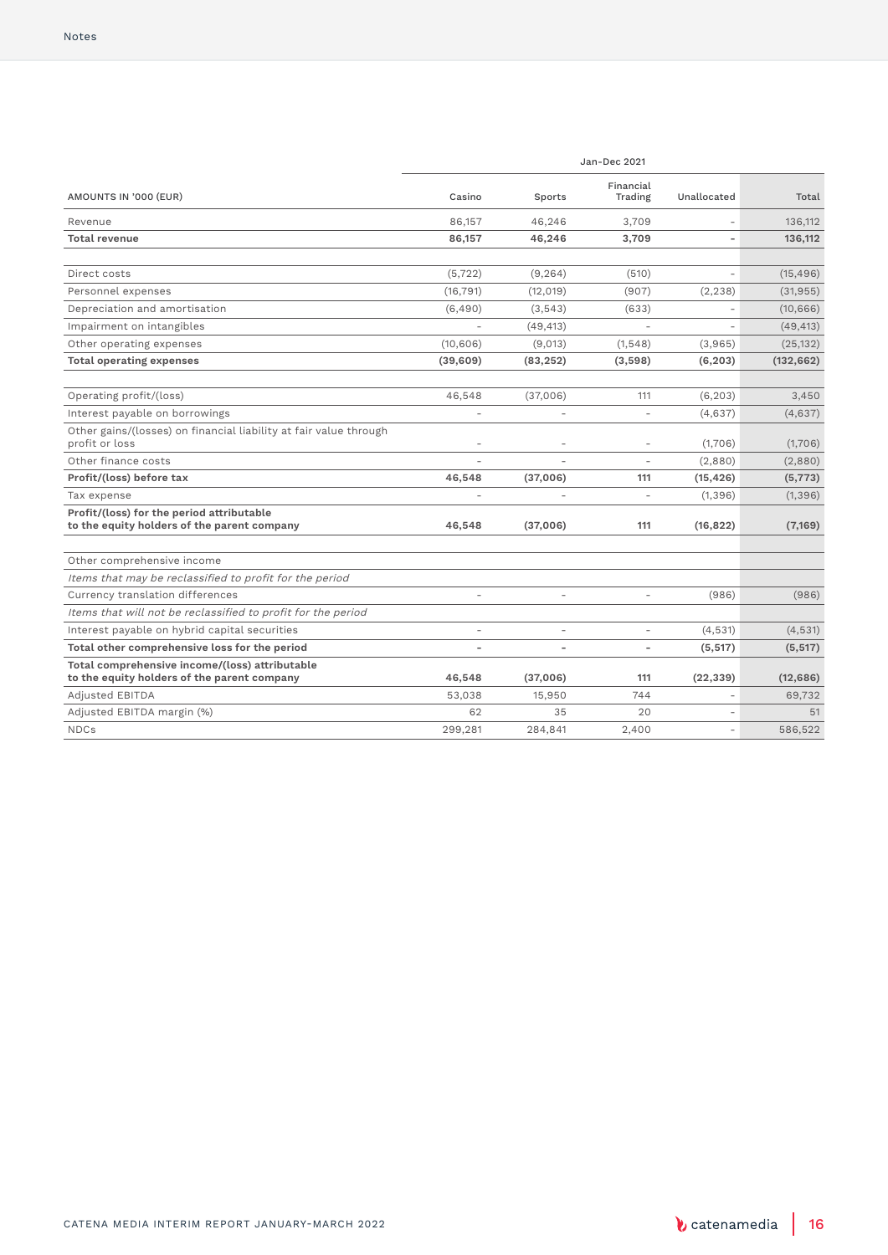|                                                                                               | Jan-Dec 2021   |           |                          |             |            |  |  |
|-----------------------------------------------------------------------------------------------|----------------|-----------|--------------------------|-------------|------------|--|--|
| AMOUNTS IN '000 (EUR)                                                                         | Casino         | Sports    | Financial<br>Trading     | Unallocated | Total      |  |  |
| Revenue                                                                                       | 86,157         | 46.246    | 3,709                    |             | 136,112    |  |  |
| <b>Total revenue</b>                                                                          | 86,157         | 46,246    | 3,709                    |             | 136,112    |  |  |
| Direct costs                                                                                  | (5, 722)       | (9, 264)  | (510)                    |             | (15, 496)  |  |  |
| Personnel expenses                                                                            | (16, 791)      | (12, 019) | (907)                    | (2, 238)    | (31, 955)  |  |  |
| Depreciation and amortisation                                                                 | (6,490)        | (3, 543)  | (633)                    |             | (10, 666)  |  |  |
| Impairment on intangibles                                                                     |                | (49, 413) |                          |             | (49, 413)  |  |  |
| Other operating expenses                                                                      | (10,606)       | (9,013)   | (1, 548)                 | (3,965)     | (25, 132)  |  |  |
| <b>Total operating expenses</b>                                                               | (39,609)       | (83, 252) | (3,598)                  | (6, 203)    | (132, 662) |  |  |
| Operating profit/(loss)                                                                       | 46,548         | (37,006)  | 111                      | (6, 203)    | 3,450      |  |  |
| Interest payable on borrowings                                                                | $\overline{a}$ | $\bar{ }$ | $\sim$                   | (4,637)     | (4,637)    |  |  |
| Other gains/(losses) on financial liability at fair value through<br>profit or loss           | $\overline{a}$ |           | $\overline{a}$           | (1,706)     | (1,706)    |  |  |
| Other finance costs                                                                           |                |           | ÷                        | (2,880)     | (2,880)    |  |  |
| Profit/(loss) before tax                                                                      | 46,548         | (37,006)  | 111                      | (15, 426)   | (5, 773)   |  |  |
| Tax expense                                                                                   |                |           | ÷.                       | (1, 396)    | (1, 396)   |  |  |
| Profit/(loss) for the period attributable<br>to the equity holders of the parent company      | 46,548         | (37,006)  | 111                      | (16, 822)   | (7,169)    |  |  |
| Other comprehensive income                                                                    |                |           |                          |             |            |  |  |
| Items that may be reclassified to profit for the period                                       |                |           |                          |             |            |  |  |
| Currency translation differences                                                              |                |           | ÷                        | (986)       | (986)      |  |  |
| Items that will not be reclassified to profit for the period                                  |                |           |                          |             |            |  |  |
| Interest payable on hybrid capital securities                                                 | ÷.             | L,        | $\overline{a}$           | (4,531)     | (4, 531)   |  |  |
| Total other comprehensive loss for the period                                                 | ٠              | ÷         | $\overline{\phantom{a}}$ | (5, 517)    | (5, 517)   |  |  |
| Total comprehensive income/(loss) attributable<br>to the equity holders of the parent company | 46,548         | (37,006)  | 111                      | (22, 339)   | (12, 686)  |  |  |
| Adjusted EBITDA                                                                               | 53.038         | 15,950    | 744                      | ÷.          | 69.732     |  |  |
| Adjusted EBITDA margin (%)                                                                    | 62             | 35        | 20                       |             | 51         |  |  |
| <b>NDCs</b>                                                                                   | 299,281        | 284,841   | 2.400                    |             | 586.522    |  |  |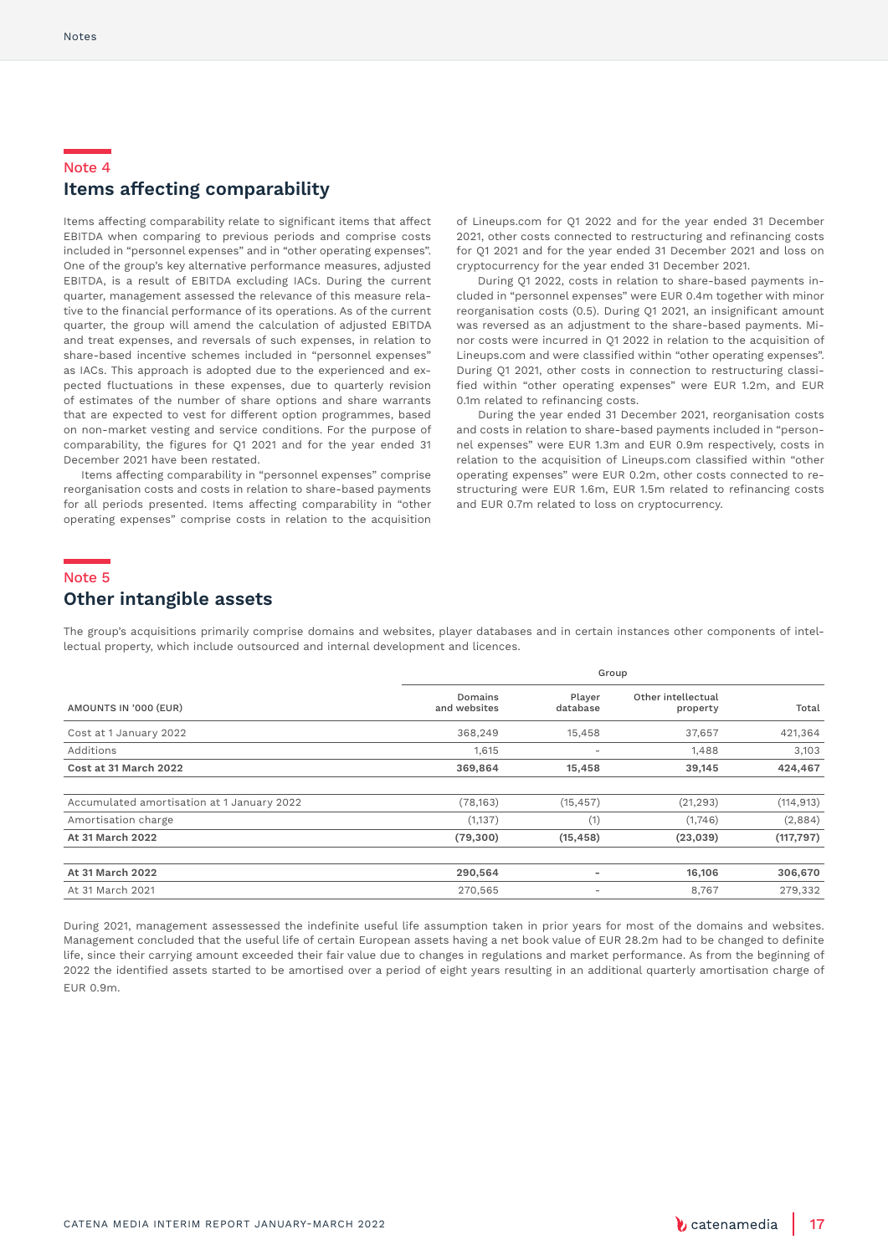### Note 4 **Items affecting comparability**

Items affecting comparability relate to significant items that affect EBITDA when comparing to previous periods and comprise costs included in "personnel expenses" and in "other operating expenses". One of the group's key alternative performance measures, adjusted EBITDA, is a result of EBITDA excluding IACs. During the current quarter, management assessed the relevance of this measure relative to the financial performance of its operations. As of the current quarter, the group will amend the calculation of adjusted EBITDA and treat expenses, and reversals of such expenses, in relation to share-based incentive schemes included in "personnel expenses" as IACs. This approach is adopted due to the experienced and expected fluctuations in these expenses, due to quarterly revision of estimates of the number of share options and share warrants that are expected to vest for different option programmes, based on non-market vesting and service conditions. For the purpose of comparability, the figures for Q1 2021 and for the year ended 31 December 2021 have been restated.

 Items affecting comparability in "personnel expenses" comprise reorganisation costs and costs in relation to share-based payments for all periods presented. Items affecting comparability in "other operating expenses" comprise costs in relation to the acquisition

of Lineups.com for Q1 2022 and for the year ended 31 December 2021, other costs connected to restructuring and refinancing costs for Q1 2021 and for the year ended 31 December 2021 and loss on cryptocurrency for the year ended 31 December 2021.

 During Q1 2022, costs in relation to share-based payments included in "personnel expenses" were EUR 0.4m together with minor reorganisation costs (0.5). During Q1 2021, an insignificant amount was reversed as an adjustment to the share-based payments. Minor costs were incurred in Q1 2022 in relation to the acquisition of Lineups.com and were classified within "other operating expenses". During Q1 2021, other costs in connection to restructuring classified within "other operating expenses" were EUR 1.2m, and EUR 0.1m related to refinancing costs.

 During the year ended 31 December 2021, reorganisation costs and costs in relation to share-based payments included in "personnel expenses" were EUR 1.3m and EUR 0.9m respectively, costs in relation to the acquisition of Lineups.com classified within "other operating expenses" were EUR 0.2m, other costs connected to restructuring were EUR 1.6m, EUR 1.5m related to refinancing costs and EUR 0.7m related to loss on cryptocurrency.

#### Note 5

### **Other intangible assets**

The group's acquisitions primarily comprise domains and websites, player databases and in certain instances other components of intellectual property, which include outsourced and internal development and licences.

|                                            |                         | Group                    |                                |            |  |  |  |  |
|--------------------------------------------|-------------------------|--------------------------|--------------------------------|------------|--|--|--|--|
| AMOUNTS IN '000 (EUR)                      | Domains<br>and websites | Player<br>database       | Other intellectual<br>property | Total      |  |  |  |  |
| Cost at 1 January 2022                     | 368,249                 | 15,458                   | 37,657                         | 421,364    |  |  |  |  |
| Additions                                  | 1,615                   | $\qquad \qquad$          | 1,488                          | 3,103      |  |  |  |  |
| Cost at 31 March 2022                      | 369,864                 | 15,458                   | 39,145                         | 424,467    |  |  |  |  |
| Accumulated amortisation at 1 January 2022 | (78, 163)               | (15, 457)                | (21, 293)                      | (114, 913) |  |  |  |  |
| Amortisation charge                        | (1, 137)                | (1)                      | (1,746)                        | (2,884)    |  |  |  |  |
| At 31 March 2022                           | (79, 300)               | (15, 458)                | (23, 039)                      | (117, 797) |  |  |  |  |
| At 31 March 2022                           | 290,564                 | $\overline{\phantom{0}}$ | 16,106                         | 306,670    |  |  |  |  |
| At 31 March 2021                           | 270,565                 | $\overline{\phantom{a}}$ | 8,767                          | 279,332    |  |  |  |  |

During 2021, management assessessed the indefinite useful life assumption taken in prior years for most of the domains and websites. Management concluded that the useful life of certain European assets having a net book value of EUR 28.2m had to be changed to definite life, since their carrying amount exceeded their fair value due to changes in regulations and market performance. As from the beginning of 2022 the identified assets started to be amortised over a period of eight years resulting in an additional quarterly amortisation charge of EUR 0.9m.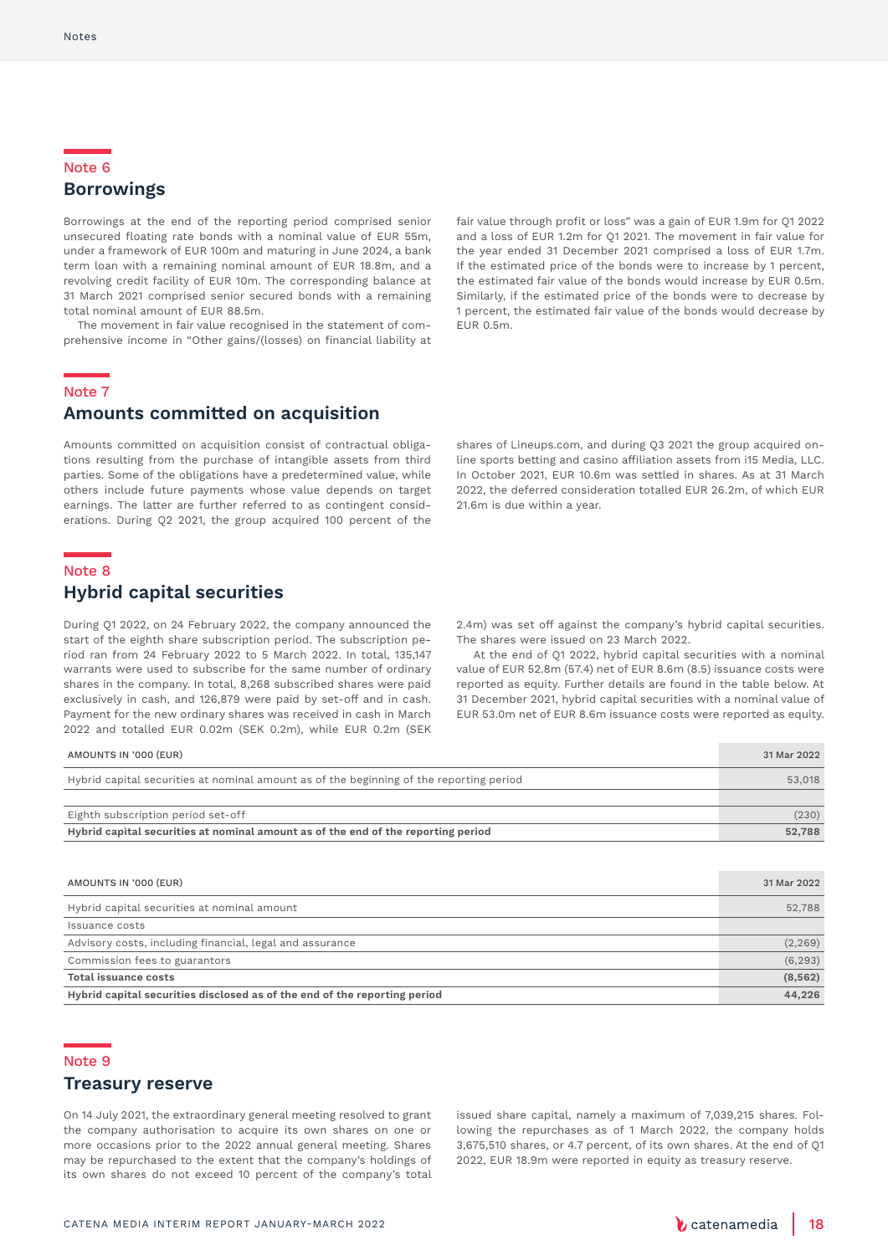### Note 6 **Borrowings**

Borrowings at the end of the reporting period comprised senior unsecured floating rate bonds with a nominal value of EUR 55m, under a framework of EUR 100m and maturing in June 2024, a bank term loan with a remaining nominal amount of EUR 18.8m, and a revolving credit facility of EUR 10m. The corresponding balance at 31 March 2021 comprised senior secured bonds with a remaining total nominal amount of EUR 88.5m.

 The movement in fair value recognised in the statement of comprehensive income in "Other gains/(losses) on financial liability at fair value through profit or loss" was a gain of EUR 1.9m for Q1 2022 and a loss of EUR 1.2m for Q1 2021. The movement in fair value for the year ended 31 December 2021 comprised a loss of EUR 1.7m. If the estimated price of the bonds were to increase by 1 percent, the estimated fair value of the bonds would increase by EUR 0.5m. Similarly, if the estimated price of the bonds were to decrease by 1 percent, the estimated fair value of the bonds would decrease by EUR 0.5m.

### Note 7

### **Amounts committed on acquisition**

Amounts committed on acquisition consist of contractual obligations resulting from the purchase of intangible assets from third parties. Some of the obligations have a predetermined value, while others include future payments whose value depends on target earnings. The latter are further referred to as contingent considerations. During Q2 2021, the group acquired 100 percent of the

shares of Lineups.com, and during Q3 2021 the group acquired online sports betting and casino affiliation assets from i15 Media, LLC. In October 2021, EUR 10.6m was settled in shares. As at 31 March 2022, the deferred consideration totalled EUR 26.2m, of which EUR 21.6m is due within a year.

#### Note 8

### **Hybrid capital securities**

During Q1 2022, on 24 February 2022, the company announced the start of the eighth share subscription period. The subscription period ran from 24 February 2022 to 5 March 2022. In total, 135,147 warrants were used to subscribe for the same number of ordinary shares in the company. In total, 8,268 subscribed shares were paid exclusively in cash, and 126,879 were paid by set-off and in cash. Payment for the new ordinary shares was received in cash in March 2022 and totalled EUR 0.02m (SEK 0.2m), while EUR 0.2m (SEK

2.4m) was set off against the company's hybrid capital securities. The shares were issued on 23 March 2022.

At the end of Q1 2022, hybrid capital securities with a nominal value of EUR 52.8m (57.4) net of EUR 8.6m (8.5) issuance costs were reported as equity. Further details are found in the table below. At 31 December 2021, hybrid capital securities with a nominal value of EUR 53.0m net of EUR 8.6m issuance costs were reported as equity.

| AMOUNTS IN '000 (EUR)                                                                   | 31 Mar 2022 |
|-----------------------------------------------------------------------------------------|-------------|
| Hybrid capital securities at nominal amount as of the beginning of the reporting period | 53,018      |
|                                                                                         |             |
| Eighth subscription period set-off                                                      | (230)       |
| Hybrid capital securities at nominal amount as of the end of the reporting period       | 52,788      |

| AMOUNTS IN '000 (EUR)                                                     | 31 Mar 2022 |
|---------------------------------------------------------------------------|-------------|
| Hybrid capital securities at nominal amount                               | 52,788      |
| Issuance costs                                                            |             |
| Advisory costs, including financial, legal and assurance                  | (2, 269)    |
| Commission fees to guarantors                                             | (6, 293)    |
| Total issuance costs                                                      | (8, 562)    |
| Hybrid capital securities disclosed as of the end of the reporting period | 44,226      |

#### Note 9

### **Treasury reserve**

On 14 July 2021, the extraordinary general meeting resolved to grant the company authorisation to acquire its own shares on one or more occasions prior to the 2022 annual general meeting. Shares may be repurchased to the extent that the company's holdings of its own shares do not exceed 10 percent of the company's total

issued share capital, namely a maximum of 7,039,215 shares. Following the repurchases as of 1 March 2022, the company holds 3,675,510 shares, or 4.7 percent, of its own shares. At the end of Q1 2022, EUR 18.9m were reported in equity as treasury reserve.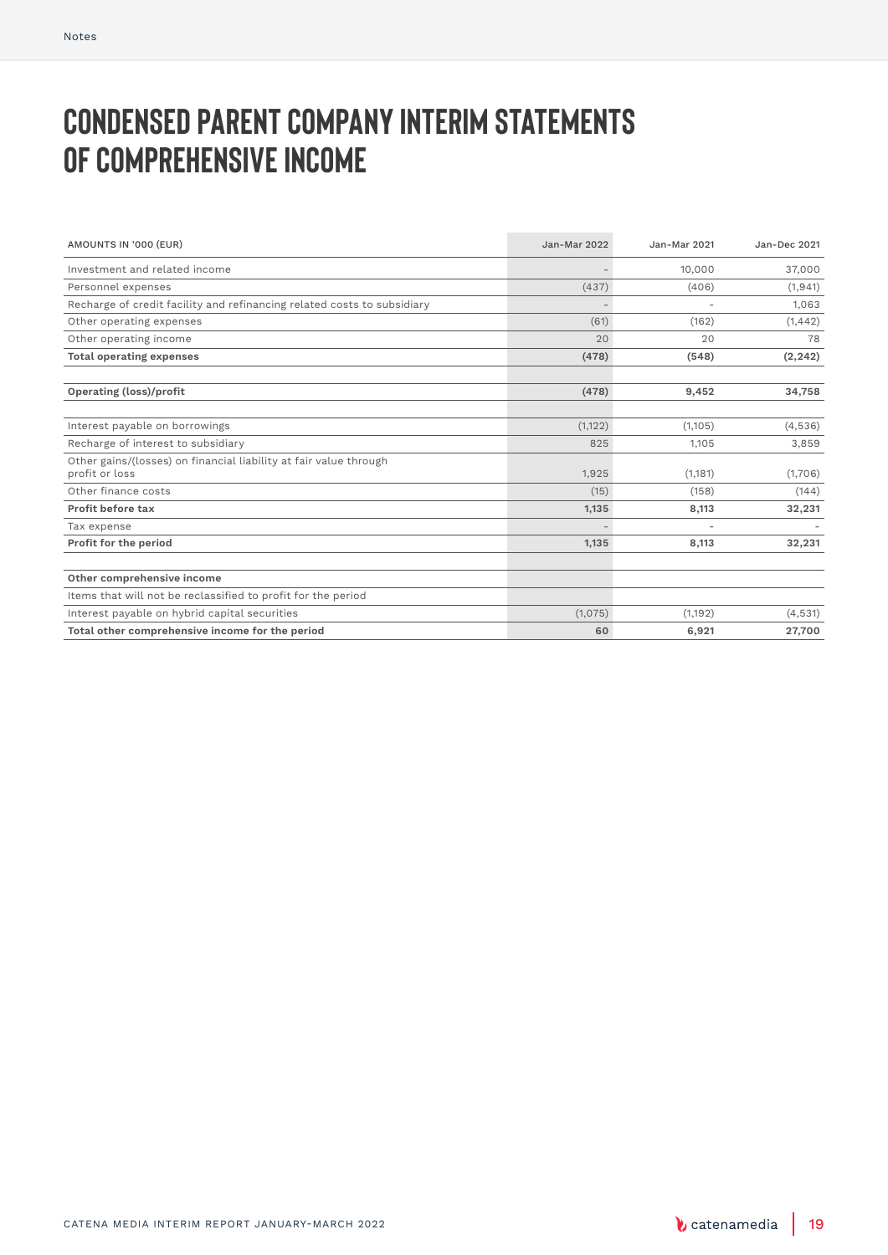# **Condensed parent company interim statements OF COMPREHENSIVE INCOME**

| AMOUNTS IN '000 (EUR)                                                               | <b>Jan-Mar 2022</b> | Jan-Mar 2021 | Jan-Dec 2021 |
|-------------------------------------------------------------------------------------|---------------------|--------------|--------------|
| Investment and related income                                                       |                     | 10,000       | 37,000       |
| Personnel expenses                                                                  | (437)               | (406)        | (1, 941)     |
| Recharge of credit facility and refinancing related costs to subsidiary             |                     |              | 1,063        |
| Other operating expenses                                                            | (61)                | (162)        | (1, 442)     |
| Other operating income                                                              | 20                  | 20           | 78           |
| <b>Total operating expenses</b>                                                     | (478)               | (548)        | (2, 242)     |
|                                                                                     |                     |              |              |
| Operating (loss)/profit                                                             | (478)               | 9,452        | 34,758       |
|                                                                                     |                     |              |              |
| Interest payable on borrowings                                                      | (1, 122)            | (1,105)      | (4,536)      |
| Recharge of interest to subsidiary                                                  | 825                 | 1,105        | 3,859        |
| Other gains/(losses) on financial liability at fair value through<br>profit or loss | 1,925               | (1, 181)     | (1,706)      |
| Other finance costs                                                                 | (15)                | (158)        | (144)        |
| Profit before tax                                                                   | 1,135               | 8,113        | 32,231       |
| Tax expense                                                                         |                     |              |              |
| Profit for the period                                                               | 1,135               | 8,113        | 32,231       |
|                                                                                     |                     |              |              |
| Other comprehensive income                                                          |                     |              |              |
| Items that will not be reclassified to profit for the period                        |                     |              |              |
| Interest payable on hybrid capital securities                                       | (1,075)             | (1,192)      | (4,531)      |
| Total other comprehensive income for the period                                     | 60                  | 6,921        | 27,700       |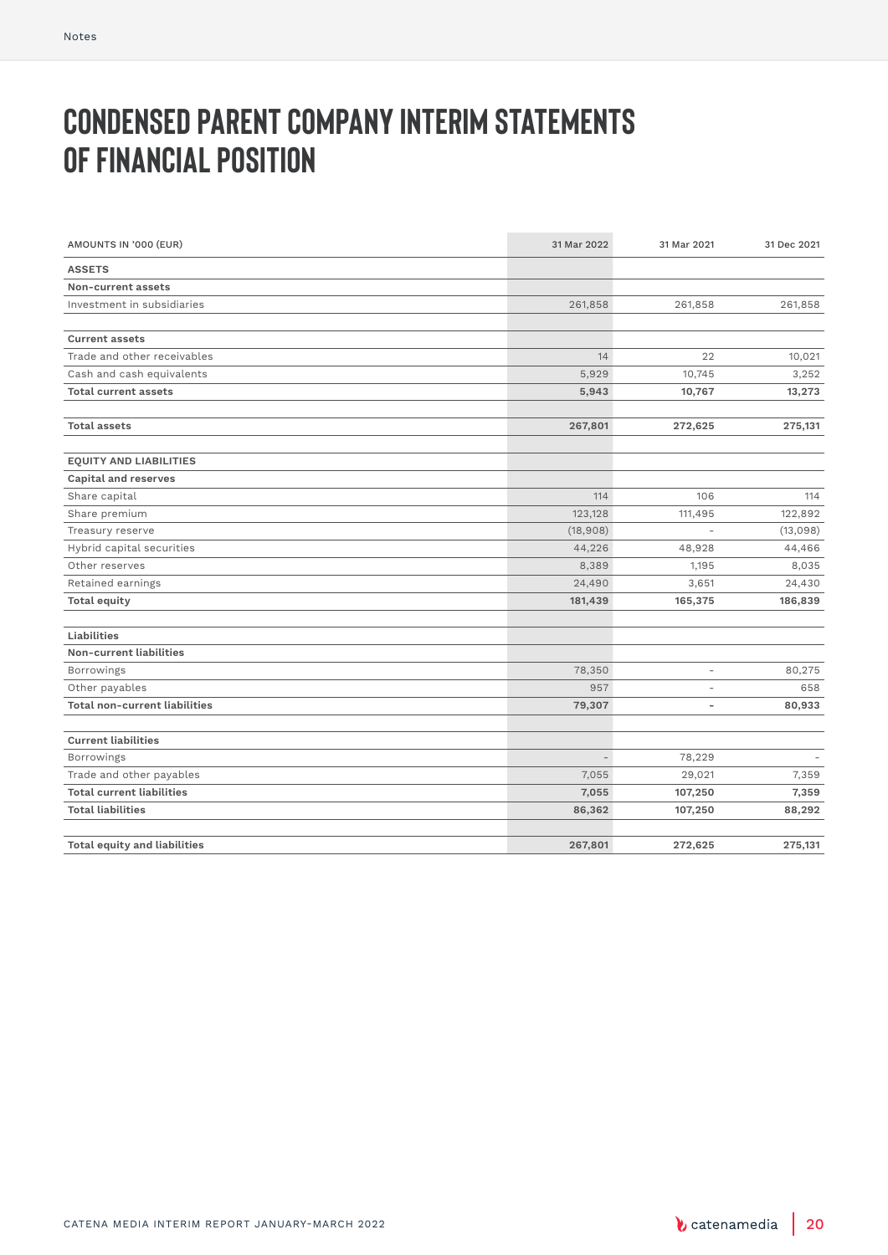# **Condensed parent company interim statements of financial position**

| AMOUNTS IN '000 (EUR)                | 31 Mar 2022              | 31 Mar 2021              | 31 Dec 2021 |
|--------------------------------------|--------------------------|--------------------------|-------------|
| <b>ASSETS</b>                        |                          |                          |             |
| Non-current assets                   |                          |                          |             |
| Investment in subsidiaries           | 261,858                  | 261,858                  | 261,858     |
|                                      |                          |                          |             |
| <b>Current assets</b>                |                          |                          |             |
| Trade and other receivables          | 14                       | 22                       | 10,021      |
| Cash and cash equivalents            | 5,929                    | 10,745                   | 3,252       |
| <b>Total current assets</b>          | 5,943                    | 10,767                   | 13,273      |
|                                      |                          |                          |             |
| <b>Total assets</b>                  | 267,801                  | 272,625                  | 275,131     |
|                                      |                          |                          |             |
| <b>EQUITY AND LIABILITIES</b>        |                          |                          |             |
| <b>Capital and reserves</b>          |                          |                          |             |
| Share capital                        | 114                      | 106                      | 114         |
| Share premium                        | 123,128                  | 111,495                  | 122,892     |
| Treasury reserve                     | (18,908)                 |                          | (13,098)    |
| Hybrid capital securities            | 44,226                   | 48,928                   | 44,466      |
| Other reserves                       | 8,389                    | 1,195                    | 8,035       |
| Retained earnings                    | 24,490                   | 3,651                    | 24,430      |
| <b>Total equity</b>                  | 181,439                  | 165,375                  | 186,839     |
|                                      |                          |                          |             |
| Liabilities                          |                          |                          |             |
| Non-current liabilities              |                          |                          |             |
| Borrowings                           | 78,350                   | L,                       | 80,275      |
| Other payables                       | 957                      | ٠                        | 658         |
| <b>Total non-current liabilities</b> | 79,307                   | $\overline{\phantom{a}}$ | 80,933      |
|                                      |                          |                          |             |
| <b>Current liabilities</b>           |                          |                          |             |
| <b>Borrowings</b>                    | $\overline{\phantom{0}}$ | 78,229                   |             |
| Trade and other payables             | 7,055                    | 29,021                   | 7,359       |
| <b>Total current liabilities</b>     | 7,055                    | 107,250                  | 7,359       |
| <b>Total liabilities</b>             | 86,362                   | 107,250                  | 88,292      |
|                                      |                          |                          |             |
| <b>Total equity and liabilities</b>  | 267,801                  | 272,625                  | 275,131     |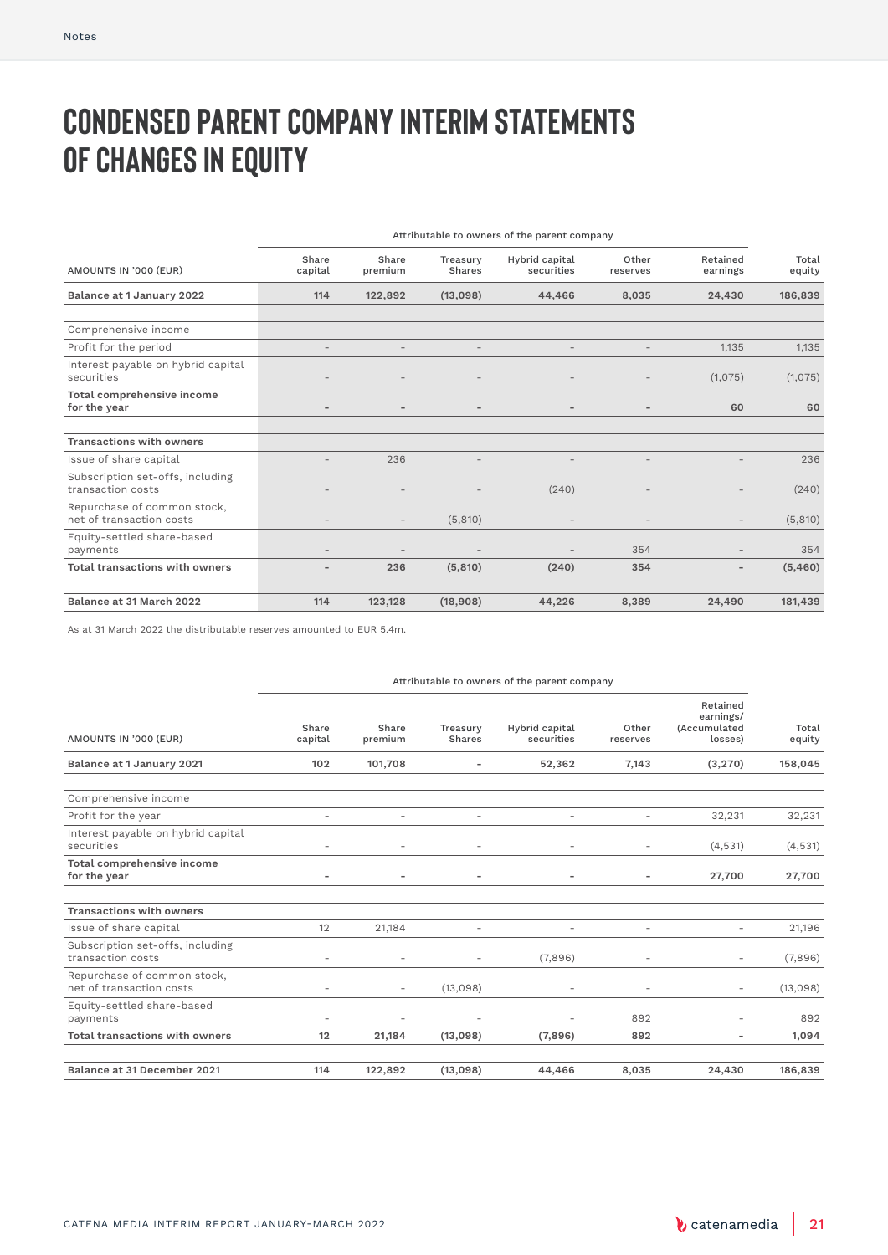# **Condensed parent company interim statements OF CHANGES IN EQUITY**

|                                                         | Attributable to owners of the parent company |                          |                          |                              |                          |                          |                 |  |
|---------------------------------------------------------|----------------------------------------------|--------------------------|--------------------------|------------------------------|--------------------------|--------------------------|-----------------|--|
| AMOUNTS IN '000 (EUR)                                   | Share<br>capital                             | Share<br>premium         | Treasury<br>Shares       | Hybrid capital<br>securities | Other<br>reserves        | Retained<br>earnings     | Total<br>equity |  |
| Balance at 1 January 2022                               | 114                                          | 122,892                  | (13,098)                 | 44,466                       | 8,035                    | 24,430                   | 186,839         |  |
|                                                         |                                              |                          |                          |                              |                          |                          |                 |  |
| Comprehensive income                                    |                                              |                          |                          |                              |                          |                          |                 |  |
| Profit for the period                                   | $\qquad \qquad -$                            | $\overline{\phantom{a}}$ | $\overline{\phantom{a}}$ | $\overline{\phantom{a}}$     | $\overline{\phantom{a}}$ | 1,135                    | 1,135           |  |
| Interest payable on hybrid capital<br>securities        |                                              |                          | $\overline{\phantom{a}}$ |                              | $\overline{\phantom{0}}$ | (1,075)                  | (1,075)         |  |
| Total comprehensive income<br>for the year              |                                              | $\overline{\phantom{0}}$ | $\overline{\phantom{a}}$ | -                            | $\overline{\phantom{0}}$ | 60                       | 60              |  |
|                                                         |                                              |                          |                          |                              |                          |                          |                 |  |
| <b>Transactions with owners</b>                         |                                              |                          |                          |                              |                          |                          |                 |  |
| Issue of share capital                                  |                                              | 236                      |                          |                              |                          |                          | 236             |  |
| Subscription set-offs, including<br>transaction costs   |                                              |                          |                          | (240)                        |                          |                          | (240)           |  |
| Repurchase of common stock,<br>net of transaction costs |                                              | $\overline{\phantom{a}}$ | (5,810)                  |                              | $\overline{\phantom{0}}$ | $\overline{\phantom{a}}$ | (5,810)         |  |
| Equity-settled share-based<br>payments                  |                                              |                          |                          |                              | 354                      |                          | 354             |  |
| <b>Total transactions with owners</b>                   | $\overline{\phantom{0}}$                     | 236                      | (5, 810)                 | (240)                        | 354                      | $\overline{\phantom{a}}$ | (5,460)         |  |
|                                                         |                                              |                          |                          |                              |                          |                          |                 |  |
| Balance at 31 March 2022                                | 114                                          | 123,128                  | (18,908)                 | 44,226                       | 8,389                    | 24,490                   | 181,439         |  |
|                                                         |                                              |                          |                          |                              |                          |                          |                 |  |

As at 31 March 2022 the distributable reserves amounted to EUR 5.4m.

#### Attributable to owners of the parent company AMOUNTS IN '000 (EUR) Share capital Share premium Treasury Shares Hybrid capital securities Other reserves Retained earnings/ (Accumulated losses) Total equity **Balance at 1 January 2021 102 101,708 - 52,362 7,143 (3,270) 158,045** Comprehensive income Profit for the year 32,231 32,231 32,231 32,231 32,231 32,231 32,231 32,231 32,231 32,231 32,231 32,231 32,231 Interest payable on hybrid capital securities - - - - - (4,531) (4,531) **Total comprehensive income for the year - - - - - 27,700 27,700 Transactions with owners** Issue of share capital 12 21,184 - - - - - - - - 21,196 Subscription set-offs, including transaction costs (7,896) - - - - (7,896) - - (7,896) - (7,896) Repurchase of common stock, net of transaction costs - - (13,098) - - - (13,098) Equity-settled share-based payments - - - - 892 - 892 **Total transactions with owners 12 21,184 (13,098) (7,896) 892 - 1,094 Balance at 31 December 2021 114 122,892 (13,098) 44,466 8,035 24,430 186,839**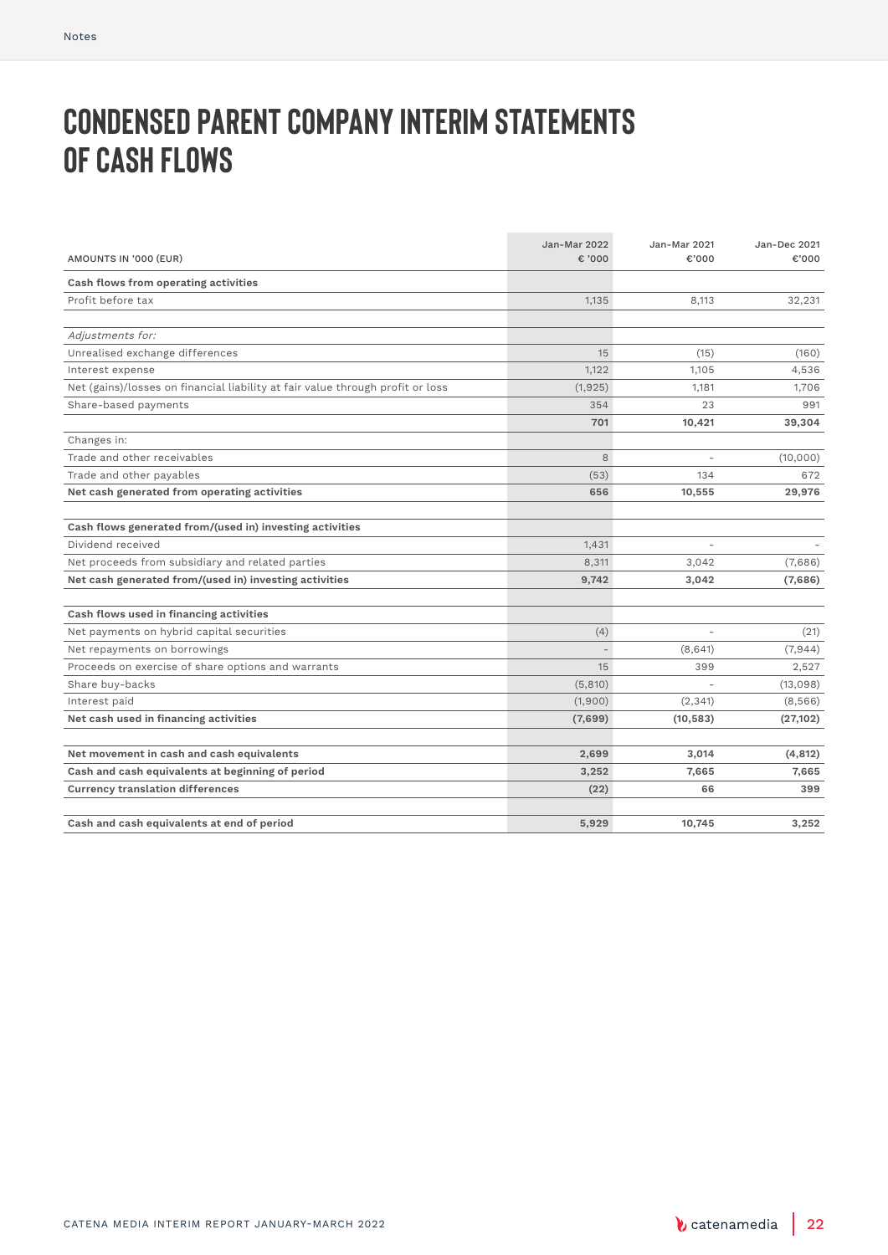# **Condensed parent company interim statements OF CASH FLOWS**

| AMOUNTS IN '000 (EUR)                                                          | <b>Jan-Mar 2022</b><br>$\epsilon$ '000 | Jan-Mar 2021<br>€'000    | Jan-Dec 2021<br>€'000 |
|--------------------------------------------------------------------------------|----------------------------------------|--------------------------|-----------------------|
| Cash flows from operating activities                                           |                                        |                          |                       |
| Profit before tax                                                              | 1.135                                  | 8.113                    | 32,231                |
|                                                                                |                                        |                          |                       |
| Adjustments for:                                                               |                                        |                          |                       |
| Unrealised exchange differences                                                | 15                                     | (15)                     | (160)                 |
| Interest expense                                                               | 1,122                                  | 1,105                    | 4,536                 |
| Net (gains)/losses on financial liability at fair value through profit or loss | (1, 925)                               | 1,181                    | 1,706                 |
| Share-based payments                                                           | 354                                    | 23                       | 991                   |
|                                                                                | 701                                    | 10,421                   | 39,304                |
| Changes in:                                                                    |                                        |                          |                       |
| Trade and other receivables                                                    | 8                                      | $\overline{\phantom{a}}$ | (10,000)              |
| Trade and other payables                                                       | (53)                                   | 134                      | 672                   |
| Net cash generated from operating activities                                   | 656                                    | 10,555                   | 29,976                |
|                                                                                |                                        |                          |                       |
| Cash flows generated from/(used in) investing activities                       |                                        |                          |                       |
| Dividend received                                                              | 1,431                                  |                          |                       |
| Net proceeds from subsidiary and related parties                               | 8,311                                  | 3,042                    | (7,686)               |
| Net cash generated from/(used in) investing activities                         | 9,742                                  | 3,042                    | (7,686)               |
|                                                                                |                                        |                          |                       |
| Cash flows used in financing activities                                        |                                        |                          |                       |
| Net payments on hybrid capital securities                                      | (4)                                    |                          | (21)                  |
| Net repayments on borrowings                                                   |                                        | (8,641)                  | (7, 944)              |
| Proceeds on exercise of share options and warrants                             | 15                                     | 399                      | 2,527                 |
| Share buy-backs                                                                | (5, 810)                               |                          | (13,098)              |
| Interest paid                                                                  | (1,900)                                | (2, 341)                 | (8,566)               |
| Net cash used in financing activities                                          | (7,699)                                | (10, 583)                | (27, 102)             |
| Net movement in cash and cash equivalents                                      | 2,699                                  | 3,014                    | (4, 812)              |
| Cash and cash equivalents at beginning of period                               |                                        | 7,665                    | 7,665                 |
|                                                                                | 3,252                                  |                          |                       |
| <b>Currency translation differences</b>                                        | (22)                                   | 66                       | 399                   |
| Cash and cash equivalents at end of period                                     | 5,929                                  | 10,745                   | 3,252                 |